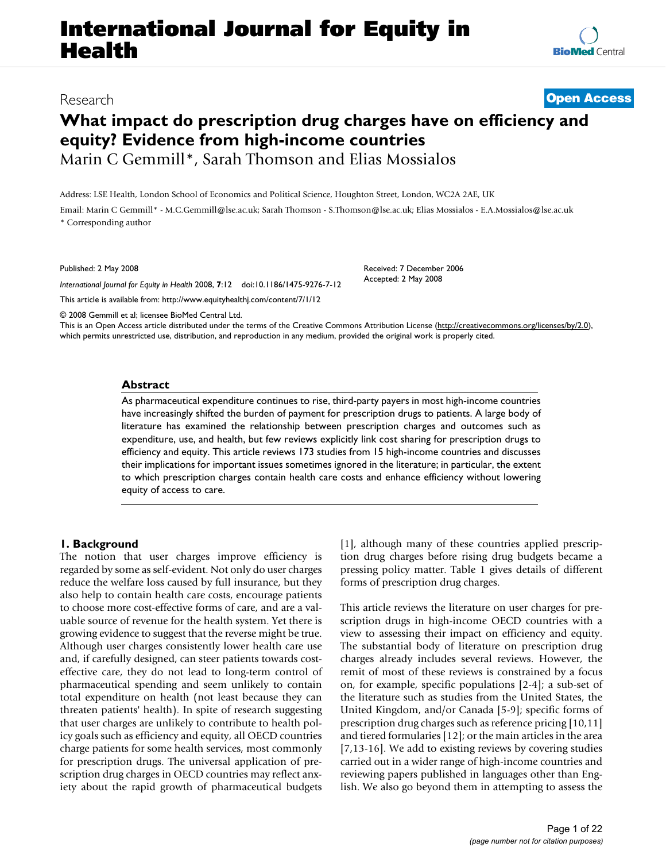# **International Journal for Equity in Health**

# Research **[Open Access](http://www.biomedcentral.com/info/about/charter/)**

# **What impact do prescription drug charges have on efficiency and equity? Evidence from high-income countries** Marin C Gemmill\*, Sarah Thomson and Elias Mossialos

Address: LSE Health, London School of Economics and Political Science, Houghton Street, London, WC2A 2AE, UK

Email: Marin C Gemmill\* - M.C.Gemmill@lse.ac.uk; Sarah Thomson - S.Thomson@lse.ac.uk; Elias Mossialos - E.A.Mossialos@lse.ac.uk \* Corresponding author

Published: 2 May 2008

*International Journal for Equity in Health* 2008, **7**:12 doi:10.1186/1475-9276-7-12

[This article is available from: http://www.equityhealthj.com/content/7/1/12](http://www.equityhealthj.com/content/7/1/12)

© 2008 Gemmill et al; licensee BioMed Central Ltd.

This is an Open Access article distributed under the terms of the Creative Commons Attribution License [\(http://creativecommons.org/licenses/by/2.0\)](http://creativecommons.org/licenses/by/2.0), which permits unrestricted use, distribution, and reproduction in any medium, provided the original work is properly cited.

## **Abstract**

As pharmaceutical expenditure continues to rise, third-party payers in most high-income countries have increasingly shifted the burden of payment for prescription drugs to patients. A large body of literature has examined the relationship between prescription charges and outcomes such as expenditure, use, and health, but few reviews explicitly link cost sharing for prescription drugs to efficiency and equity. This article reviews 173 studies from 15 high-income countries and discusses their implications for important issues sometimes ignored in the literature; in particular, the extent to which prescription charges contain health care costs and enhance efficiency without lowering equity of access to care.

# **1. Background**

The notion that user charges improve efficiency is regarded by some as self-evident. Not only do user charges reduce the welfare loss caused by full insurance, but they also help to contain health care costs, encourage patients to choose more cost-effective forms of care, and are a valuable source of revenue for the health system. Yet there is growing evidence to suggest that the reverse might be true. Although user charges consistently lower health care use and, if carefully designed, can steer patients towards costeffective care, they do not lead to long-term control of pharmaceutical spending and seem unlikely to contain total expenditure on health (not least because they can threaten patients' health). In spite of research suggesting that user charges are unlikely to contribute to health policy goals such as efficiency and equity, all OECD countries charge patients for some health services, most commonly for prescription drugs. The universal application of prescription drug charges in OECD countries may reflect anxiety about the rapid growth of pharmaceutical budgets [1], although many of these countries applied prescription drug charges before rising drug budgets became a pressing policy matter. Table 1 gives details of different forms of prescription drug charges.

This article reviews the literature on user charges for prescription drugs in high-income OECD countries with a view to assessing their impact on efficiency and equity. The substantial body of literature on prescription drug charges already includes several reviews. However, the remit of most of these reviews is constrained by a focus on, for example, specific populations [2-4]; a sub-set of the literature such as studies from the United States, the United Kingdom, and/or Canada [5-9]; specific forms of prescription drug charges such as reference pricing [10,11] and tiered formularies [12]; or the main articles in the area [7,13-16]. We add to existing reviews by covering studies carried out in a wider range of high-income countries and reviewing papers published in languages other than English. We also go beyond them in attempting to assess the

Accepted: 2 May 2008

Received: 7 December 2006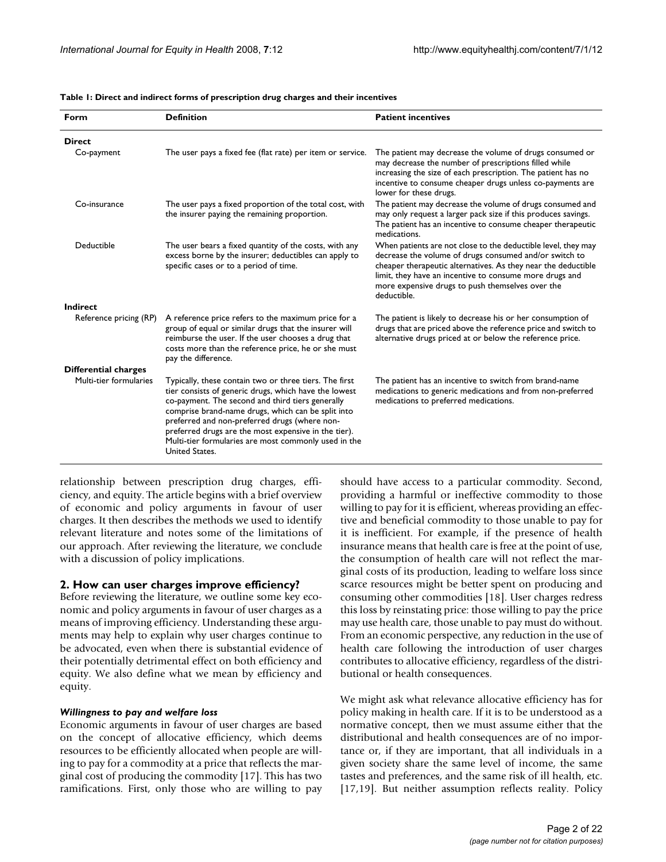| Form                        | <b>Definition</b>                                                                                                                                                                                                                                                                                                                                                                                            | <b>Patient incentives</b>                                                                                                                                                                                                                                                                                              |
|-----------------------------|--------------------------------------------------------------------------------------------------------------------------------------------------------------------------------------------------------------------------------------------------------------------------------------------------------------------------------------------------------------------------------------------------------------|------------------------------------------------------------------------------------------------------------------------------------------------------------------------------------------------------------------------------------------------------------------------------------------------------------------------|
| <b>Direct</b>               |                                                                                                                                                                                                                                                                                                                                                                                                              |                                                                                                                                                                                                                                                                                                                        |
| Co-payment                  | The user pays a fixed fee (flat rate) per item or service.                                                                                                                                                                                                                                                                                                                                                   | The patient may decrease the volume of drugs consumed or<br>may decrease the number of prescriptions filled while<br>increasing the size of each prescription. The patient has no<br>incentive to consume cheaper drugs unless co-payments are<br>lower for these drugs.                                               |
| Co-insurance                | The user pays a fixed proportion of the total cost, with<br>the insurer paying the remaining proportion.                                                                                                                                                                                                                                                                                                     | The patient may decrease the volume of drugs consumed and<br>may only request a larger pack size if this produces savings.<br>The patient has an incentive to consume cheaper therapeutic<br>medications.                                                                                                              |
| Deductible                  | The user bears a fixed quantity of the costs, with any<br>excess borne by the insurer; deductibles can apply to<br>specific cases or to a period of time.                                                                                                                                                                                                                                                    | When patients are not close to the deductible level, they may<br>decrease the volume of drugs consumed and/or switch to<br>cheaper therapeutic alternatives. As they near the deductible<br>limit, they have an incentive to consume more drugs and<br>more expensive drugs to push themselves over the<br>deductible. |
| <b>Indirect</b>             |                                                                                                                                                                                                                                                                                                                                                                                                              |                                                                                                                                                                                                                                                                                                                        |
| Reference pricing (RP)      | A reference price refers to the maximum price for a<br>group of equal or similar drugs that the insurer will<br>reimburse the user. If the user chooses a drug that<br>costs more than the reference price, he or she must<br>pay the difference.                                                                                                                                                            | The patient is likely to decrease his or her consumption of<br>drugs that are priced above the reference price and switch to<br>alternative drugs priced at or below the reference price.                                                                                                                              |
| <b>Differential charges</b> |                                                                                                                                                                                                                                                                                                                                                                                                              |                                                                                                                                                                                                                                                                                                                        |
| Multi-tier formularies      | Typically, these contain two or three tiers. The first<br>tier consists of generic drugs, which have the lowest<br>co-payment. The second and third tiers generally<br>comprise brand-name drugs, which can be split into<br>preferred and non-preferred drugs (where non-<br>preferred drugs are the most expensive in the tier).<br>Multi-tier formularies are most commonly used in the<br>United States. | The patient has an incentive to switch from brand-name<br>medications to generic medications and from non-preferred<br>medications to preferred medications.                                                                                                                                                           |

relationship between prescription drug charges, efficiency, and equity. The article begins with a brief overview of economic and policy arguments in favour of user charges. It then describes the methods we used to identify relevant literature and notes some of the limitations of our approach. After reviewing the literature, we conclude with a discussion of policy implications.

# **2. How can user charges improve efficiency?**

Before reviewing the literature, we outline some key economic and policy arguments in favour of user charges as a means of improving efficiency. Understanding these arguments may help to explain why user charges continue to be advocated, even when there is substantial evidence of their potentially detrimental effect on both efficiency and equity. We also define what we mean by efficiency and equity.

# *Willingness to pay and welfare loss*

Economic arguments in favour of user charges are based on the concept of allocative efficiency, which deems resources to be efficiently allocated when people are willing to pay for a commodity at a price that reflects the marginal cost of producing the commodity [17]. This has two ramifications. First, only those who are willing to pay should have access to a particular commodity. Second, providing a harmful or ineffective commodity to those willing to pay for it is efficient, whereas providing an effective and beneficial commodity to those unable to pay for it is inefficient. For example, if the presence of health insurance means that health care is free at the point of use, the consumption of health care will not reflect the marginal costs of its production, leading to welfare loss since scarce resources might be better spent on producing and consuming other commodities [18]. User charges redress this loss by reinstating price: those willing to pay the price may use health care, those unable to pay must do without. From an economic perspective, any reduction in the use of health care following the introduction of user charges contributes to allocative efficiency, regardless of the distributional or health consequences.

We might ask what relevance allocative efficiency has for policy making in health care. If it is to be understood as a normative concept, then we must assume either that the distributional and health consequences are of no importance or, if they are important, that all individuals in a given society share the same level of income, the same tastes and preferences, and the same risk of ill health, etc. [17,19]. But neither assumption reflects reality. Policy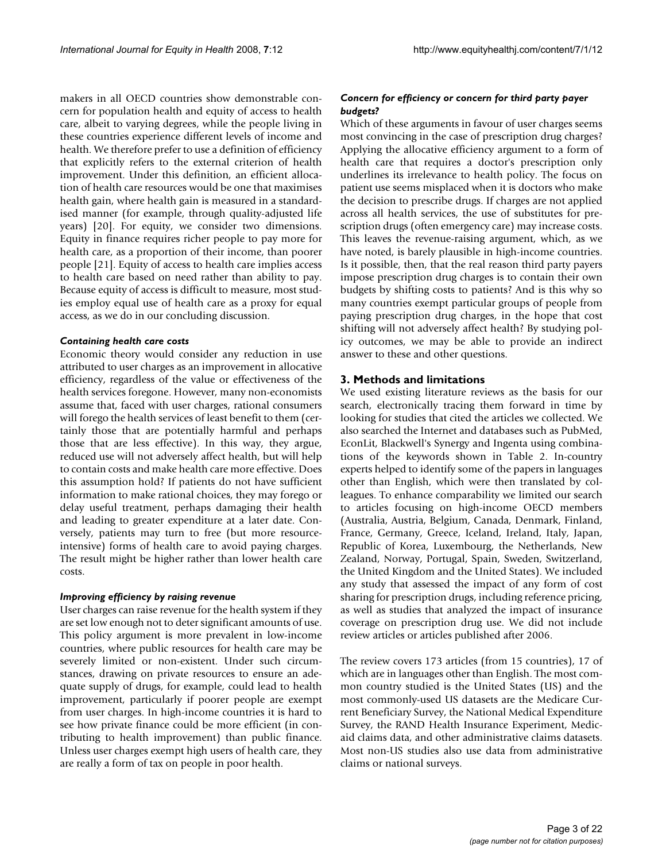makers in all OECD countries show demonstrable concern for population health and equity of access to health care, albeit to varying degrees, while the people living in these countries experience different levels of income and health. We therefore prefer to use a definition of efficiency that explicitly refers to the external criterion of health improvement. Under this definition, an efficient allocation of health care resources would be one that maximises health gain, where health gain is measured in a standardised manner (for example, through quality-adjusted life years) [20]. For equity, we consider two dimensions. Equity in finance requires richer people to pay more for health care, as a proportion of their income, than poorer people [21]. Equity of access to health care implies access to health care based on need rather than ability to pay. Because equity of access is difficult to measure, most studies employ equal use of health care as a proxy for equal access, as we do in our concluding discussion.

# *Containing health care costs*

Economic theory would consider any reduction in use attributed to user charges as an improvement in allocative efficiency, regardless of the value or effectiveness of the health services foregone. However, many non-economists assume that, faced with user charges, rational consumers will forego the health services of least benefit to them (certainly those that are potentially harmful and perhaps those that are less effective). In this way, they argue, reduced use will not adversely affect health, but will help to contain costs and make health care more effective. Does this assumption hold? If patients do not have sufficient information to make rational choices, they may forego or delay useful treatment, perhaps damaging their health and leading to greater expenditure at a later date. Conversely, patients may turn to free (but more resourceintensive) forms of health care to avoid paying charges. The result might be higher rather than lower health care costs.

# *Improving efficiency by raising revenue*

User charges can raise revenue for the health system if they are set low enough not to deter significant amounts of use. This policy argument is more prevalent in low-income countries, where public resources for health care may be severely limited or non-existent. Under such circumstances, drawing on private resources to ensure an adequate supply of drugs, for example, could lead to health improvement, particularly if poorer people are exempt from user charges. In high-income countries it is hard to see how private finance could be more efficient (in contributing to health improvement) than public finance. Unless user charges exempt high users of health care, they are really a form of tax on people in poor health.

# *Concern for efficiency or concern for third party payer budgets?*

Which of these arguments in favour of user charges seems most convincing in the case of prescription drug charges? Applying the allocative efficiency argument to a form of health care that requires a doctor's prescription only underlines its irrelevance to health policy. The focus on patient use seems misplaced when it is doctors who make the decision to prescribe drugs. If charges are not applied across all health services, the use of substitutes for prescription drugs (often emergency care) may increase costs. This leaves the revenue-raising argument, which, as we have noted, is barely plausible in high-income countries. Is it possible, then, that the real reason third party payers impose prescription drug charges is to contain their own budgets by shifting costs to patients? And is this why so many countries exempt particular groups of people from paying prescription drug charges, in the hope that cost shifting will not adversely affect health? By studying policy outcomes, we may be able to provide an indirect answer to these and other questions.

# **3. Methods and limitations**

We used existing literature reviews as the basis for our search, electronically tracing them forward in time by looking for studies that cited the articles we collected. We also searched the Internet and databases such as PubMed, EconLit, Blackwell's Synergy and Ingenta using combinations of the keywords shown in Table 2. In-country experts helped to identify some of the papers in languages other than English, which were then translated by colleagues. To enhance comparability we limited our search to articles focusing on high-income OECD members (Australia, Austria, Belgium, Canada, Denmark, Finland, France, Germany, Greece, Iceland, Ireland, Italy, Japan, Republic of Korea, Luxembourg, the Netherlands, New Zealand, Norway, Portugal, Spain, Sweden, Switzerland, the United Kingdom and the United States). We included any study that assessed the impact of any form of cost sharing for prescription drugs, including reference pricing, as well as studies that analyzed the impact of insurance coverage on prescription drug use. We did not include review articles or articles published after 2006.

The review covers 173 articles (from 15 countries), 17 of which are in languages other than English. The most common country studied is the United States (US) and the most commonly-used US datasets are the Medicare Current Beneficiary Survey, the National Medical Expenditure Survey, the RAND Health Insurance Experiment, Medicaid claims data, and other administrative claims datasets. Most non-US studies also use data from administrative claims or national surveys.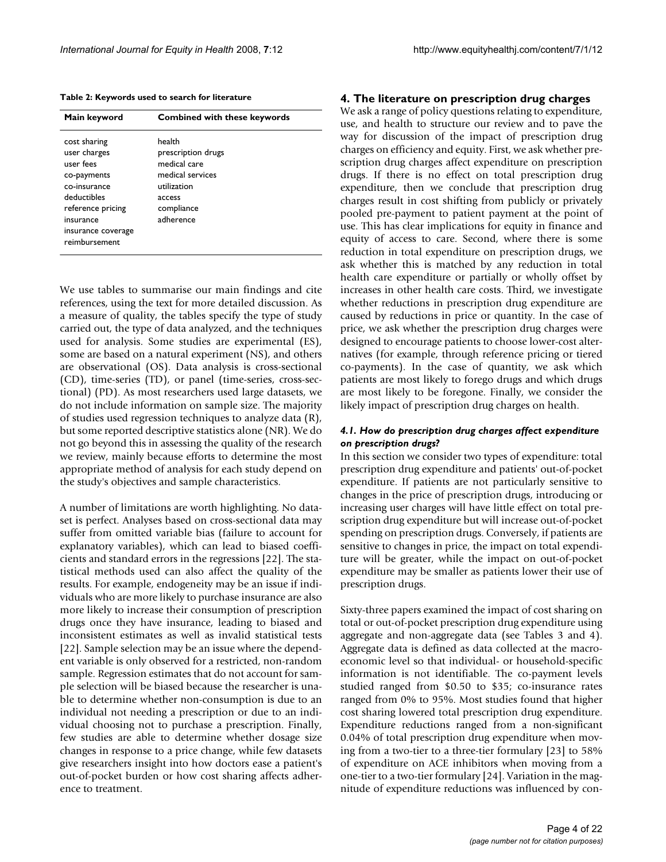|  |  |  |  | Table 2: Keywords used to search for literature |
|--|--|--|--|-------------------------------------------------|
|--|--|--|--|-------------------------------------------------|

| Main keyword                                                                                                                                                     | <b>Combined with these keywords</b>                                                                                  |
|------------------------------------------------------------------------------------------------------------------------------------------------------------------|----------------------------------------------------------------------------------------------------------------------|
| cost sharing<br>user charges<br>user fees<br>co-payments<br>co-insurance<br>deductibles<br>reference pricing<br>insurance<br>insurance coverage<br>reimbursement | health<br>prescription drugs<br>medical care<br>medical services<br>utilization<br>access<br>compliance<br>adherence |

We use tables to summarise our main findings and cite references, using the text for more detailed discussion. As a measure of quality, the tables specify the type of study carried out, the type of data analyzed, and the techniques used for analysis. Some studies are experimental (ES), some are based on a natural experiment (NS), and others are observational (OS). Data analysis is cross-sectional (CD), time-series (TD), or panel (time-series, cross-sectional) (PD). As most researchers used large datasets, we do not include information on sample size. The majority of studies used regression techniques to analyze data (R), but some reported descriptive statistics alone (NR). We do not go beyond this in assessing the quality of the research we review, mainly because efforts to determine the most appropriate method of analysis for each study depend on the study's objectives and sample characteristics.

A number of limitations are worth highlighting. No dataset is perfect. Analyses based on cross-sectional data may suffer from omitted variable bias (failure to account for explanatory variables), which can lead to biased coefficients and standard errors in the regressions [22]. The statistical methods used can also affect the quality of the results. For example, endogeneity may be an issue if individuals who are more likely to purchase insurance are also more likely to increase their consumption of prescription drugs once they have insurance, leading to biased and inconsistent estimates as well as invalid statistical tests [22]. Sample selection may be an issue where the dependent variable is only observed for a restricted, non-random sample. Regression estimates that do not account for sample selection will be biased because the researcher is unable to determine whether non-consumption is due to an individual not needing a prescription or due to an individual choosing not to purchase a prescription. Finally, few studies are able to determine whether dosage size changes in response to a price change, while few datasets give researchers insight into how doctors ease a patient's out-of-pocket burden or how cost sharing affects adherence to treatment.

# **4. The literature on prescription drug charges**

We ask a range of policy questions relating to expenditure, use, and health to structure our review and to pave the way for discussion of the impact of prescription drug charges on efficiency and equity. First, we ask whether prescription drug charges affect expenditure on prescription drugs. If there is no effect on total prescription drug expenditure, then we conclude that prescription drug charges result in cost shifting from publicly or privately pooled pre-payment to patient payment at the point of use. This has clear implications for equity in finance and equity of access to care. Second, where there is some reduction in total expenditure on prescription drugs, we ask whether this is matched by any reduction in total health care expenditure or partially or wholly offset by increases in other health care costs. Third, we investigate whether reductions in prescription drug expenditure are caused by reductions in price or quantity. In the case of price, we ask whether the prescription drug charges were designed to encourage patients to choose lower-cost alternatives (for example, through reference pricing or tiered co-payments). In the case of quantity, we ask which patients are most likely to forego drugs and which drugs are most likely to be foregone. Finally, we consider the likely impact of prescription drug charges on health.

# *4.1. How do prescription drug charges affect expenditure on prescription drugs?*

In this section we consider two types of expenditure: total prescription drug expenditure and patients' out-of-pocket expenditure. If patients are not particularly sensitive to changes in the price of prescription drugs, introducing or increasing user charges will have little effect on total prescription drug expenditure but will increase out-of-pocket spending on prescription drugs. Conversely, if patients are sensitive to changes in price, the impact on total expenditure will be greater, while the impact on out-of-pocket expenditure may be smaller as patients lower their use of prescription drugs.

Sixty-three papers examined the impact of cost sharing on total or out-of-pocket prescription drug expenditure using aggregate and non-aggregate data (see Tables 3 and 4). Aggregate data is defined as data collected at the macroeconomic level so that individual- or household-specific information is not identifiable. The co-payment levels studied ranged from \$0.50 to \$35; co-insurance rates ranged from 0% to 95%. Most studies found that higher cost sharing lowered total prescription drug expenditure. Expenditure reductions ranged from a non-significant 0.04% of total prescription drug expenditure when moving from a two-tier to a three-tier formulary [23] to 58% of expenditure on ACE inhibitors when moving from a one-tier to a two-tier formulary [24]. Variation in the magnitude of expenditure reductions was influenced by con-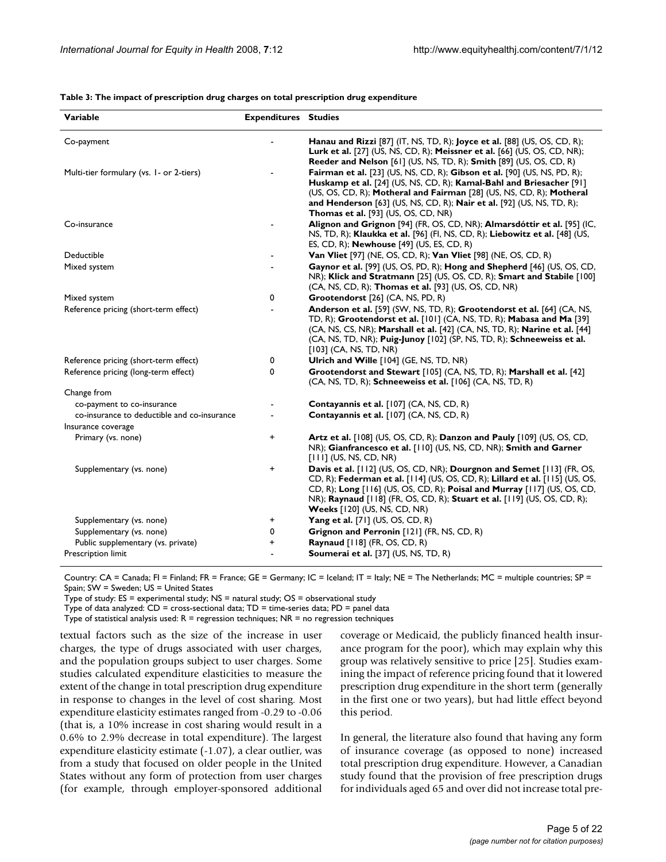|  |  |  |  |  |  | Table 3: The impact of prescription drug charges on total prescription drug expenditure |
|--|--|--|--|--|--|-----------------------------------------------------------------------------------------|
|--|--|--|--|--|--|-----------------------------------------------------------------------------------------|

| Variable                                                          | <b>Expenditures Studies</b> |                                                                                                                                                                                                                                                                                                                                                       |
|-------------------------------------------------------------------|-----------------------------|-------------------------------------------------------------------------------------------------------------------------------------------------------------------------------------------------------------------------------------------------------------------------------------------------------------------------------------------------------|
| Co-payment                                                        |                             | Hanau and Rizzi [87] (IT, NS, TD, R); Joyce et al. [88] (US, OS, CD, R);<br>Lurk et al. [27] (US, NS, CD, R); Meissner et al. [66] (US, OS, CD, NR);<br><b>Reeder and Nelson</b> [61] (US, NS, TD, R); <b>Smith</b> [89] (US, OS, CD, R)                                                                                                              |
| Multi-tier formulary (vs. 1- or 2-tiers)                          |                             | Fairman et al. [23] (US, NS, CD, R); Gibson et al. [90] (US, NS, PD, R);<br>Huskamp et al. [24] (US, NS, CD, R); Kamal-Bahl and Briesacher [91]<br>(US, OS, CD, R); Motheral and Fairman [28] (US, NS, CD, R); Motheral<br>and Henderson [63] (US, NS, CD, R); Nair et al. [92] (US, NS, TD, R);<br>Thomas et al. [93] (US, OS, CD, NR)               |
| Co-insurance                                                      |                             | Alignon and Grignon [94] (FR, OS, CD, NR); Almarsdóttir et al. [95] (IC,<br>NS, TD, R); Klaukka et al. [96] (Fl, NS, CD, R); Liebowitz et al. [48] (US,<br>ES, CD, R); Newhouse [49] (US, ES, CD, R)                                                                                                                                                  |
| Deductible                                                        |                             | <b>Van Vliet</b> [97] (NE, OS, CD, R); <b>Van Vliet</b> [98] (NE, OS, CD, R)                                                                                                                                                                                                                                                                          |
| Mixed system                                                      |                             | Gaynor et al. [99] (US, OS, PD, R); Hong and Shepherd [46] (US, OS, CD,<br>NR); Klick and Stratmann [25] (US, OS, CD, R); Smart and Stabile [100]<br>(CA, NS, CD, R); Thomas et al. [93] (US, OS, CD, NR)                                                                                                                                             |
| Mixed system                                                      | 0                           | Grootendorst [26] (CA, NS, PD, R)                                                                                                                                                                                                                                                                                                                     |
| Reference pricing (short-term effect)                             |                             | Anderson et al. [59] (SW, NS, TD, R); Grootendorst et al. [64] (CA, NS,<br>TD, R); Grootendorst et al. [101] (CA, NS, TD, R); Mabasa and Ma [39]<br>(CA, NS, CS, NR); Marshall et al. [42] (CA, NS, TD, R); Narine et al. [44]<br>(CA, NS, TD, NR); Puig-Junoy [102] (SP, NS, TD, R); Schneeweiss et al.<br>$[103]$ (CA, NS, TD, NR)                  |
| Reference pricing (short-term effect)                             | 0                           | Ulrich and Wille [104] (GE, NS, TD, NR)                                                                                                                                                                                                                                                                                                               |
| Reference pricing (long-term effect)                              | 0                           | Grootendorst and Stewart [105] (CA, NS, TD, R); Marshall et al. [42]<br>(CA, NS, TD, R); <b>Schneeweiss et al.</b> [106] (CA, NS, TD, R)                                                                                                                                                                                                              |
| Change from                                                       |                             |                                                                                                                                                                                                                                                                                                                                                       |
| co-payment to co-insurance                                        |                             | Contayannis et al. [107] (CA, NS, CD, R)                                                                                                                                                                                                                                                                                                              |
| co-insurance to deductible and co-insurance<br>Insurance coverage |                             | Contayannis et al. [107] (CA, NS, CD, R)                                                                                                                                                                                                                                                                                                              |
| Primary (vs. none)                                                | $\ddot{}$                   | Artz et al. [108] (US, OS, CD, R); Danzon and Pauly [109] (US, OS, CD,<br>NR); Gianfrancesco et al. [110] (US, NS, CD, NR); Smith and Garner<br>$[111]$ (US, NS, CD, NR)                                                                                                                                                                              |
| Supplementary (vs. none)                                          | $\ddot{}$                   | Davis et al. [112] (US, OS, CD, NR); Dourgnon and Semet [113] (FR, OS,<br>CD, R); Federman et al. [114] (US, OS, CD, R); Lillard et al. [115] (US, OS,<br>CD, R); Long [116] (US, OS, CD, R); Poisal and Murray [117] (US, OS, CD,<br>NR); Raynaud [118] (FR, OS, CD, R); Stuart et al. [119] (US, OS, CD, R);<br><b>Weeks</b> [120] (US, NS, CD, NR) |
| Supplementary (vs. none)                                          | +                           | Yang et al. [71] (US, OS, CD, R)                                                                                                                                                                                                                                                                                                                      |
| Supplementary (vs. none)                                          | 0                           | Grignon and Perronin [121] (FR, NS, CD, R)                                                                                                                                                                                                                                                                                                            |
| Public supplementary (vs. private)                                | +                           | Raynaud $[118]$ (FR, OS, CD, R)                                                                                                                                                                                                                                                                                                                       |
| Prescription limit                                                |                             | <b>Soumerai et al.</b> [37] (US, NS, TD, R)                                                                                                                                                                                                                                                                                                           |

Country: CA = Canada; FI = Finland; FR = France; GE = Germany; IC = Iceland; IT = Italy; NE = The Netherlands; MC = multiple countries; SP = Spain; SW = Sweden; US = United States

Type of study: ES = experimental study; NS = natural study; OS = observational study

Type of data analyzed:  $CD = cross-sectional data$ ;  $TD = time-series data$ ;  $PD = panel data$ 

Type of statistical analysis used:  $R =$  regression techniques;  $NR =$  no regression techniques

textual factors such as the size of the increase in user charges, the type of drugs associated with user charges, and the population groups subject to user charges. Some studies calculated expenditure elasticities to measure the extent of the change in total prescription drug expenditure in response to changes in the level of cost sharing. Most expenditure elasticity estimates ranged from -0.29 to -0.06 (that is, a 10% increase in cost sharing would result in a 0.6% to 2.9% decrease in total expenditure). The largest expenditure elasticity estimate (-1.07), a clear outlier, was from a study that focused on older people in the United States without any form of protection from user charges (for example, through employer-sponsored additional

coverage or Medicaid, the publicly financed health insurance program for the poor), which may explain why this group was relatively sensitive to price [25]. Studies examining the impact of reference pricing found that it lowered prescription drug expenditure in the short term (generally in the first one or two years), but had little effect beyond this period.

In general, the literature also found that having any form of insurance coverage (as opposed to none) increased total prescription drug expenditure. However, a Canadian study found that the provision of free prescription drugs for individuals aged 65 and over did not increase total pre-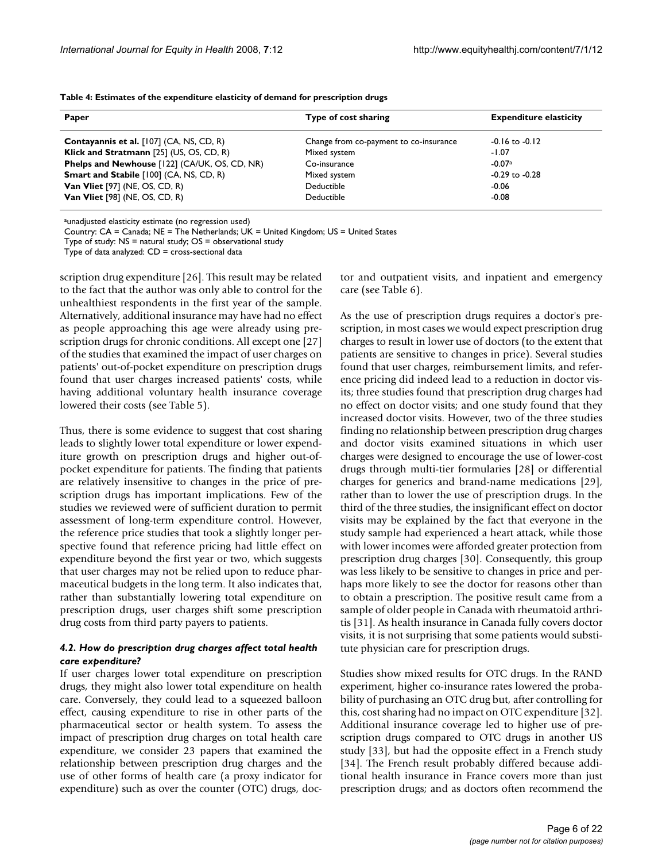| Paper                                                | Type of cost sharing                   | <b>Expenditure elasticity</b> |  |
|------------------------------------------------------|----------------------------------------|-------------------------------|--|
| Contayannis et al. [107] (CA, NS, CD, R)             | Change from co-payment to co-insurance | $-0.16$ to $-0.12$            |  |
| Klick and Stratmann [25] (US, OS, CD, R)             | Mixed system                           | $-1.07$                       |  |
| <b>Phelps and Newhouse</b> [122] (CA/UK, OS, CD, NR) | Co-insurance                           | $-0.07a$                      |  |
| <b>Smart and Stabile [100] (CA, NS, CD, R)</b>       | Mixed system                           | $-0.29$ to $-0.28$            |  |
| <b>Van Vliet</b> [97] (NE, OS, CD, R)                | Deductible                             | $-0.06$                       |  |
| <b>Van Vliet</b> [98] (NE, OS, CD, R)                | Deductible                             | $-0.08$                       |  |

**Table 4: Estimates of the expenditure elasticity of demand for prescription drugs**

aunadjusted elasticity estimate (no regression used)

Country: CA = Canada; NE = The Netherlands; UK = United Kingdom; US = United States

Type of study:  $NS =$  natural study;  $OS =$  observational study

Type of data analyzed:  $CD =$  cross-sectional data

scription drug expenditure [26]. This result may be related to the fact that the author was only able to control for the unhealthiest respondents in the first year of the sample. Alternatively, additional insurance may have had no effect as people approaching this age were already using prescription drugs for chronic conditions. All except one [27] of the studies that examined the impact of user charges on patients' out-of-pocket expenditure on prescription drugs found that user charges increased patients' costs, while having additional voluntary health insurance coverage lowered their costs (see Table 5).

Thus, there is some evidence to suggest that cost sharing leads to slightly lower total expenditure or lower expenditure growth on prescription drugs and higher out-ofpocket expenditure for patients. The finding that patients are relatively insensitive to changes in the price of prescription drugs has important implications. Few of the studies we reviewed were of sufficient duration to permit assessment of long-term expenditure control. However, the reference price studies that took a slightly longer perspective found that reference pricing had little effect on expenditure beyond the first year or two, which suggests that user charges may not be relied upon to reduce pharmaceutical budgets in the long term. It also indicates that, rather than substantially lowering total expenditure on prescription drugs, user charges shift some prescription drug costs from third party payers to patients.

# *4.2. How do prescription drug charges affect total health care expenditure?*

If user charges lower total expenditure on prescription drugs, they might also lower total expenditure on health care. Conversely, they could lead to a squeezed balloon effect, causing expenditure to rise in other parts of the pharmaceutical sector or health system. To assess the impact of prescription drug charges on total health care expenditure, we consider 23 papers that examined the relationship between prescription drug charges and the use of other forms of health care (a proxy indicator for expenditure) such as over the counter (OTC) drugs, doctor and outpatient visits, and inpatient and emergency care (see Table 6).

As the use of prescription drugs requires a doctor's prescription, in most cases we would expect prescription drug charges to result in lower use of doctors (to the extent that patients are sensitive to changes in price). Several studies found that user charges, reimbursement limits, and reference pricing did indeed lead to a reduction in doctor visits; three studies found that prescription drug charges had no effect on doctor visits; and one study found that they increased doctor visits. However, two of the three studies finding no relationship between prescription drug charges and doctor visits examined situations in which user charges were designed to encourage the use of lower-cost drugs through multi-tier formularies [28] or differential charges for generics and brand-name medications [29], rather than to lower the use of prescription drugs. In the third of the three studies, the insignificant effect on doctor visits may be explained by the fact that everyone in the study sample had experienced a heart attack, while those with lower incomes were afforded greater protection from prescription drug charges [30]. Consequently, this group was less likely to be sensitive to changes in price and perhaps more likely to see the doctor for reasons other than to obtain a prescription. The positive result came from a sample of older people in Canada with rheumatoid arthritis [31]. As health insurance in Canada fully covers doctor visits, it is not surprising that some patients would substitute physician care for prescription drugs.

Studies show mixed results for OTC drugs. In the RAND experiment, higher co-insurance rates lowered the probability of purchasing an OTC drug but, after controlling for this, cost sharing had no impact on OTC expenditure [32]. Additional insurance coverage led to higher use of prescription drugs compared to OTC drugs in another US study [33], but had the opposite effect in a French study [34]. The French result probably differed because additional health insurance in France covers more than just prescription drugs; and as doctors often recommend the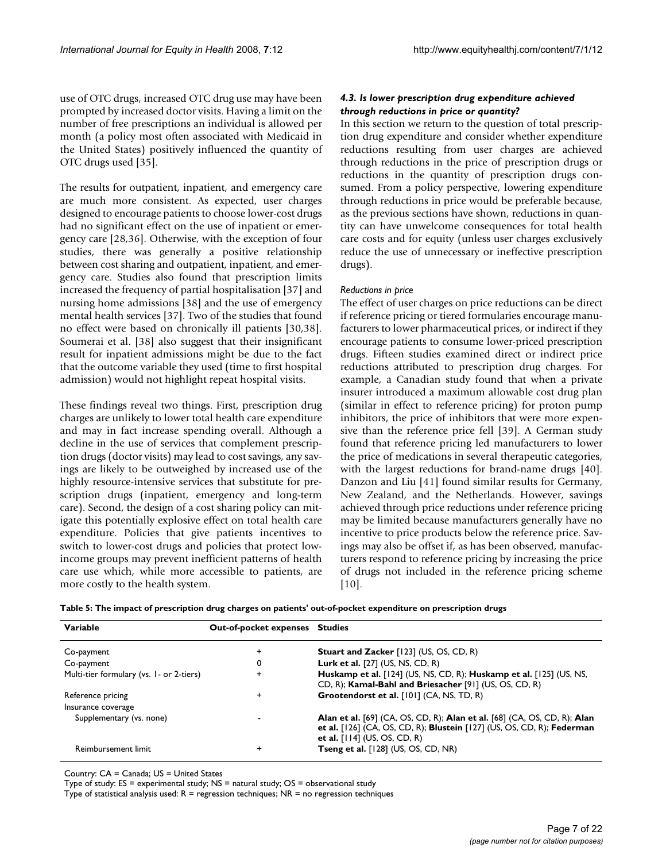use of OTC drugs, increased OTC drug use may have been prompted by increased doctor visits. Having a limit on the number of free prescriptions an individual is allowed per month (a policy most often associated with Medicaid in the United States) positively influenced the quantity of OTC drugs used [35].

The results for outpatient, inpatient, and emergency care are much more consistent. As expected, user charges designed to encourage patients to choose lower-cost drugs had no significant effect on the use of inpatient or emergency care [28,36]. Otherwise, with the exception of four studies, there was generally a positive relationship between cost sharing and outpatient, inpatient, and emergency care. Studies also found that prescription limits increased the frequency of partial hospitalisation [37] and nursing home admissions [38] and the use of emergency mental health services [37]. Two of the studies that found no effect were based on chronically ill patients [30,38]. Soumerai et al. [38] also suggest that their insignificant result for inpatient admissions might be due to the fact that the outcome variable they used (time to first hospital admission) would not highlight repeat hospital visits.

These findings reveal two things. First, prescription drug charges are unlikely to lower total health care expenditure and may in fact increase spending overall. Although a decline in the use of services that complement prescription drugs (doctor visits) may lead to cost savings, any savings are likely to be outweighed by increased use of the highly resource-intensive services that substitute for prescription drugs (inpatient, emergency and long-term care). Second, the design of a cost sharing policy can mitigate this potentially explosive effect on total health care expenditure. Policies that give patients incentives to switch to lower-cost drugs and policies that protect lowincome groups may prevent inefficient patterns of health care use which, while more accessible to patients, are more costly to the health system.

# *4.3. Is lower prescription drug expenditure achieved through reductions in price or quantity?*

In this section we return to the question of total prescription drug expenditure and consider whether expenditure reductions resulting from user charges are achieved through reductions in the price of prescription drugs or reductions in the quantity of prescription drugs consumed. From a policy perspective, lowering expenditure through reductions in price would be preferable because, as the previous sections have shown, reductions in quantity can have unwelcome consequences for total health care costs and for equity (unless user charges exclusively reduce the use of unnecessary or ineffective prescription drugs).

# *Reductions in price*

The effect of user charges on price reductions can be direct if reference pricing or tiered formularies encourage manufacturers to lower pharmaceutical prices, or indirect if they encourage patients to consume lower-priced prescription drugs. Fifteen studies examined direct or indirect price reductions attributed to prescription drug charges. For example, a Canadian study found that when a private insurer introduced a maximum allowable cost drug plan (similar in effect to reference pricing) for proton pump inhibitors, the price of inhibitors that were more expensive than the reference price fell [39]. A German study found that reference pricing led manufacturers to lower the price of medications in several therapeutic categories, with the largest reductions for brand-name drugs [40]. Danzon and Liu [41] found similar results for Germany, New Zealand, and the Netherlands. However, savings achieved through price reductions under reference pricing may be limited because manufacturers generally have no incentive to price products below the reference price. Savings may also be offset if, as has been observed, manufacturers respond to reference pricing by increasing the price of drugs not included in the reference pricing scheme [10].

|  |  |  |  |  |  | Table 5: The impact of prescription drug charges on patients' out-of-pocket expenditure on prescription drugs |  |  |
|--|--|--|--|--|--|---------------------------------------------------------------------------------------------------------------|--|--|
|--|--|--|--|--|--|---------------------------------------------------------------------------------------------------------------|--|--|

| Variable                                 | <b>Out-of-pocket expenses Studies</b> |                                                                                                                                                                                      |
|------------------------------------------|---------------------------------------|--------------------------------------------------------------------------------------------------------------------------------------------------------------------------------------|
| Co-payment                               | +                                     | <b>Stuart and Zacker</b> [123] (US, OS, CD, R)                                                                                                                                       |
| Co-payment                               | 0                                     | <b>Lurk et al.</b> [27] (US, NS, CD, R)                                                                                                                                              |
| Multi-tier formulary (vs. 1- or 2-tiers) |                                       | Huskamp et al. [124] (US, NS, CD, R); Huskamp et al. [125] (US, NS,<br>CD, R); Kamal-Bahl and Briesacher [91] (US, OS, CD, R)                                                        |
| Reference pricing                        | +                                     | Grootendorst et al. [101] (CA, NS, TD, R)                                                                                                                                            |
| Insurance coverage                       |                                       |                                                                                                                                                                                      |
| Supplementary (vs. none)                 |                                       | Alan et al. [69] (CA, OS, CD, R); Alan et al. [68] (CA, OS, CD, R); Alan<br>et al. [126] (CA, OS, CD, R); Blustein [127] (US, OS, CD, R); Federman<br>et al. $[114]$ (US, OS, CD, R) |
| Reimbursement limit                      | +                                     | <b>Tseng et al.</b> $[128]$ (US, OS, CD, NR)                                                                                                                                         |

Country: CA = Canada; US = United States

Type of study: ES = experimental study; NS = natural study; OS = observational study

Type of statistical analysis used:  $R =$  regression techniques;  $NR =$  no regression techniques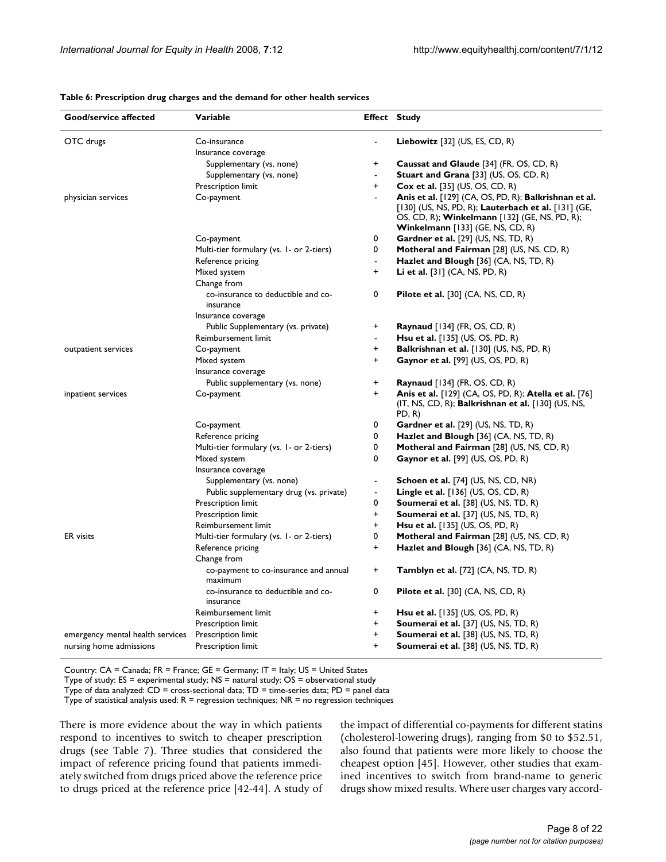| Good/service affected            | Variable                                         |                | <b>Effect Study</b>                                                                                                                                                                                             |
|----------------------------------|--------------------------------------------------|----------------|-----------------------------------------------------------------------------------------------------------------------------------------------------------------------------------------------------------------|
| OTC drugs                        | Co-insurance                                     |                | <b>Liebowitz</b> $[32]$ (US, ES, CD, R)                                                                                                                                                                         |
|                                  | Insurance coverage                               |                |                                                                                                                                                                                                                 |
|                                  | Supplementary (vs. none)                         | $\ddot{}$      | <b>Caussat and Glaude</b> [34] (FR, OS, CD, R)                                                                                                                                                                  |
|                                  | Supplementary (vs. none)                         | $\blacksquare$ | <b>Stuart and Grana</b> [33] (US, OS, CD, R)                                                                                                                                                                    |
|                                  | Prescription limit                               | $\ddot{}$      | <b>Cox et al.</b> [35] (US, OS, CD, R)                                                                                                                                                                          |
| physician services               | Co-payment                                       |                | Anis et al. [129] (CA, OS, PD, R); Balkrishnan et al.<br>[130] (US, NS, PD, R); Lauterbach et al. [131] (GE,<br>OS, CD, R); <b>Winkelmann</b> [132] (GE, NS, PD, R);<br><b>Winkelmann</b> [133] (GE, NS, CD, R) |
|                                  | Co-payment                                       | 0              | Gardner et al. [29] (US, NS, TD, R)                                                                                                                                                                             |
|                                  | Multi-tier formulary (vs. I- or 2-tiers)         | 0              | <b>Motheral and Fairman</b> [28] (US, NS, CD, R)                                                                                                                                                                |
|                                  | Reference pricing                                | $\blacksquare$ | Hazlet and Blough [36] (CA, NS, TD, R)                                                                                                                                                                          |
|                                  | Mixed system                                     | $\ddot{}$      | <b>Li et al.</b> [31] (CA, NS, PD, R)                                                                                                                                                                           |
|                                  | Change from                                      |                |                                                                                                                                                                                                                 |
|                                  | co-insurance to deductible and co-<br>insurance  | 0              | <b>Pilote et al.</b> [30] $(CA, NS, CD, R)$                                                                                                                                                                     |
|                                  | Insurance coverage                               |                |                                                                                                                                                                                                                 |
|                                  | Public Supplementary (vs. private)               | $\ddot{}$      | Raynaud $[134]$ (FR, OS, CD, R)                                                                                                                                                                                 |
|                                  | Reimbursement limit                              | $\blacksquare$ | <b>Hsu et al.</b> $[135]$ (US, OS, PD, R)                                                                                                                                                                       |
| outpatient services              | Co-payment                                       | $\ddot{}$      | Balkrishnan et al. [130] (US, NS, PD, R)                                                                                                                                                                        |
|                                  | Mixed system                                     | $\ddot{}$      | Gaynor et al. [99] (US, OS, PD, R)                                                                                                                                                                              |
|                                  | Insurance coverage                               |                |                                                                                                                                                                                                                 |
|                                  | Public supplementary (vs. none)                  | $\ddot{}$      | Raynaud $[134]$ (FR, OS, CD, R)                                                                                                                                                                                 |
| inpatient services               | Co-payment                                       | $\ddot{}$      | <b>Anis et al.</b> [129] (CA, OS, PD, R); <b>Atella et al.</b> [76]<br>$(IT, NS, CD, R);$ <b>Balkrishnan et al.</b> [130] (US, NS,<br>PD, R)                                                                    |
|                                  | Co-payment                                       | 0              | Gardner et al. [29] (US, NS, TD, R)                                                                                                                                                                             |
|                                  | Reference pricing                                | 0              | Hazlet and Blough [36] (CA, NS, TD, R)                                                                                                                                                                          |
|                                  | Multi-tier formulary (vs. 1- or 2-tiers)         | 0              | Motheral and Fairman [28] (US, NS, CD, R)                                                                                                                                                                       |
|                                  | Mixed system                                     | 0              | Gaynor et al. [99] (US, OS, PD, R)                                                                                                                                                                              |
|                                  | Insurance coverage                               |                |                                                                                                                                                                                                                 |
|                                  | Supplementary (vs. none)                         | $\overline{a}$ | <b>Schoen et al.</b> [74] (US, NS, CD, NR)                                                                                                                                                                      |
|                                  | Public supplementary drug (vs. private)          | $\blacksquare$ | <b>Lingle et al.</b> $[136]$ (US, OS, CD, R)                                                                                                                                                                    |
|                                  | Prescription limit                               | 0              | <b>Soumerai et al.</b> [38] (US, NS, TD, R)                                                                                                                                                                     |
|                                  | Prescription limit                               | +              | Soumerai et al. [37] (US, NS, TD, R)                                                                                                                                                                            |
|                                  | Reimbursement limit                              | +              | <b>Hsu et al.</b> [135] (US, OS, PD, R)                                                                                                                                                                         |
| <b>ER</b> visits                 | Multi-tier formulary (vs. 1- or 2-tiers)         | 0              | Motheral and Fairman [28] (US, NS, CD, R)                                                                                                                                                                       |
|                                  | Reference pricing                                | $\ddot{}$      | Hazlet and Blough [36] (CA, NS, TD, R)                                                                                                                                                                          |
|                                  | Change from                                      |                |                                                                                                                                                                                                                 |
|                                  | co-payment to co-insurance and annual<br>maximum | $\ddot{}$      | <b>Tamblyn et al.</b> $[72]$ (CA, NS, TD, R)                                                                                                                                                                    |
|                                  | co-insurance to deductible and co-<br>insurance  | 0              | <b>Pilote et al.</b> [30] $(CA, NS, CD, R)$                                                                                                                                                                     |
|                                  | Reimbursement limit                              | $\ddot{}$      | <b>Hsu et al.</b> $[135]$ (US, OS, PD, R)                                                                                                                                                                       |
|                                  | Prescription limit                               | $\ddot{}$      | <b>Soumerai et al.</b> [37] (US, NS, TD, R)                                                                                                                                                                     |
| emergency mental health services | Prescription limit                               | $\ddot{}$      | <b>Soumerai et al.</b> [38] (US, NS, TD, R)                                                                                                                                                                     |
| nursing home admissions          | Prescription limit                               | $\ddot{}$      | <b>Soumerai et al.</b> [38] (US, NS, TD, R)                                                                                                                                                                     |

**Table 6: Prescription drug charges and the demand for other health services**

Country: CA = Canada; FR = France; GE = Germany; IT = Italy; US = United States

Type of study: ES = experimental study; NS = natural study; OS = observational study

Type of data analyzed:  $CD =$  cross-sectional data;  $TD =$  time-series data;  $PD =$  panel data

Type of statistical analysis used:  $R =$  regression techniques;  $NR =$  no regression techniques

There is more evidence about the way in which patients respond to incentives to switch to cheaper prescription drugs (see Table 7). Three studies that considered the impact of reference pricing found that patients immediately switched from drugs priced above the reference price to drugs priced at the reference price [42-44]. A study of the impact of differential co-payments for different statins (cholesterol-lowering drugs), ranging from \$0 to \$52.51, also found that patients were more likely to choose the cheapest option [45]. However, other studies that examined incentives to switch from brand-name to generic drugs show mixed results. Where user charges vary accord-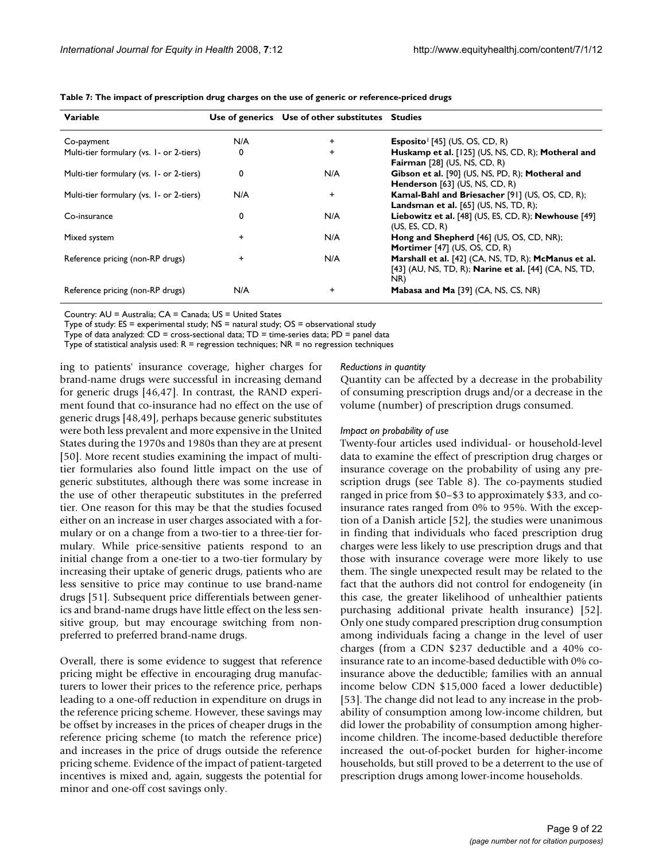| Variable                                 |           | Use of generics Use of other substitutes Studies |                                                                                                                             |
|------------------------------------------|-----------|--------------------------------------------------|-----------------------------------------------------------------------------------------------------------------------------|
| Co-payment                               | N/A       | $\ddot{}$                                        | <b>Esposito</b> <sup><math>\lfloor</math></sup> [45] (US, OS, CD, R)                                                        |
| Multi-tier formulary (vs. 1- or 2-tiers) | 0         | $\ddot{}$                                        | Huskamp et al. [125] (US, NS, CD, R); Motheral and<br><b>Fairman</b> [28] (US, NS, CD, R)                                   |
| Multi-tier formulary (vs. 1- or 2-tiers) | 0         | N/A                                              | Gibson et al. [90] (US, NS, PD, R); Motheral and<br>Henderson [63] (US, NS, CD, R)                                          |
| Multi-tier formulary (vs. 1- or 2-tiers) | N/A       | $\ddot{}$                                        | Kamal-Bahl and Briesacher [91] (US, OS, CD, R);<br>Landsman et al. [65] (US, NS, TD, R);                                    |
| Co-insurance                             | 0         | N/A                                              | Liebowitz et al. [48] (US, ES, CD, R); Newhouse [49]<br>(US, ES, CD, R)                                                     |
| Mixed system                             | $\ddot{}$ | N/A                                              | Hong and Shepherd [46] (US, OS, CD, NR);<br>Mortimer [47] (US, OS, CD, R)                                                   |
| Reference pricing (non-RP drugs)         | $\ddot{}$ | N/A                                              | Marshall et al. [42] (CA, NS, TD, R); McManus et al.<br>[43] (AU, NS, TD, R); <b>Narine et al.</b> [44] (CA, NS, TD,<br>NR) |
| Reference pricing (non-RP drugs)         | N/A       | +                                                | Mabasa and Ma [39] (CA, NS, CS, NR)                                                                                         |

**Table 7: The impact of prescription drug charges on the use of generic or reference-priced drugs**

Country: AU = Australia; CA = Canada; US = United States

Type of study: ES = experimental study; NS = natural study; OS = observational study

Type of data analyzed:  $CD = cross-sectional data$ ;  $TD = time-series data$ ;  $PD = panel data$ 

Type of statistical analysis used:  $R =$  regression techniques;  $NR =$  no regression techniques

ing to patients' insurance coverage, higher charges for brand-name drugs were successful in increasing demand for generic drugs [46,47]. In contrast, the RAND experiment found that co-insurance had no effect on the use of generic drugs [48,49], perhaps because generic substitutes were both less prevalent and more expensive in the United States during the 1970s and 1980s than they are at present [50]. More recent studies examining the impact of multitier formularies also found little impact on the use of generic substitutes, although there was some increase in the use of other therapeutic substitutes in the preferred tier. One reason for this may be that the studies focused either on an increase in user charges associated with a formulary or on a change from a two-tier to a three-tier formulary. While price-sensitive patients respond to an initial change from a one-tier to a two-tier formulary by increasing their uptake of generic drugs, patients who are less sensitive to price may continue to use brand-name drugs [51]. Subsequent price differentials between generics and brand-name drugs have little effect on the less sensitive group, but may encourage switching from nonpreferred to preferred brand-name drugs.

Overall, there is some evidence to suggest that reference pricing might be effective in encouraging drug manufacturers to lower their prices to the reference price, perhaps leading to a one-off reduction in expenditure on drugs in the reference pricing scheme. However, these savings may be offset by increases in the prices of cheaper drugs in the reference pricing scheme (to match the reference price) and increases in the price of drugs outside the reference pricing scheme. Evidence of the impact of patient-targeted incentives is mixed and, again, suggests the potential for minor and one-off cost savings only.

## *Reductions in quantity*

Quantity can be affected by a decrease in the probability of consuming prescription drugs and/or a decrease in the volume (number) of prescription drugs consumed.

# *Impact on probability of use*

Twenty-four articles used individual- or household-level data to examine the effect of prescription drug charges or insurance coverage on the probability of using any prescription drugs (see Table 8). The co-payments studied ranged in price from \$0–\$3 to approximately \$33, and coinsurance rates ranged from 0% to 95%. With the exception of a Danish article [52], the studies were unanimous in finding that individuals who faced prescription drug charges were less likely to use prescription drugs and that those with insurance coverage were more likely to use them. The single unexpected result may be related to the fact that the authors did not control for endogeneity (in this case, the greater likelihood of unhealthier patients purchasing additional private health insurance) [52]. Only one study compared prescription drug consumption among individuals facing a change in the level of user charges (from a CDN \$237 deductible and a 40% coinsurance rate to an income-based deductible with 0% coinsurance above the deductible; families with an annual income below CDN \$15,000 faced a lower deductible) [53]. The change did not lead to any increase in the probability of consumption among low-income children, but did lower the probability of consumption among higherincome children. The income-based deductible therefore increased the out-of-pocket burden for higher-income households, but still proved to be a deterrent to the use of prescription drugs among lower-income households.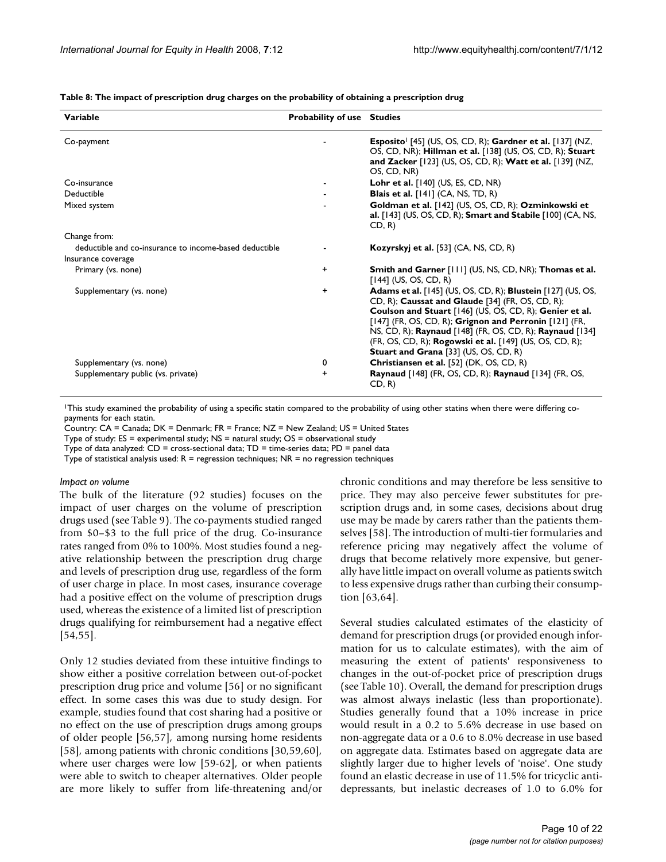| Variable                                               | <b>Probability of use Studies</b> |                                                                                                                                                                                                                                                                                                                                                                                                                                      |
|--------------------------------------------------------|-----------------------------------|--------------------------------------------------------------------------------------------------------------------------------------------------------------------------------------------------------------------------------------------------------------------------------------------------------------------------------------------------------------------------------------------------------------------------------------|
| Co-payment                                             |                                   | <b>Esposito<sup>1</sup></b> [45] (US, OS, CD, R); <b>Gardner et al.</b> [137] (NZ,<br>OS, CD, NR); Hillman et al. [138] (US, OS, CD, R); Stuart<br>and Zacker [123] (US, OS, CD, R); Watt et al. [139] (NZ,<br>OS, CD, NR)                                                                                                                                                                                                           |
| Co-insurance                                           | $\blacksquare$                    | Lohr et al. [140] (US, ES, CD, NR)                                                                                                                                                                                                                                                                                                                                                                                                   |
| Deductible                                             | ٠                                 | <b>Blais et al.</b> [141] (CA, NS, TD, R)                                                                                                                                                                                                                                                                                                                                                                                            |
| Mixed system                                           | ٠                                 | Goldman et al. [142] (US, OS, CD, R); Ozminkowski et<br>al. $[143]$ (US, OS, CD, R); <b>Smart and Stabile</b> $[100]$ (CA, NS,<br>CD, R                                                                                                                                                                                                                                                                                              |
| Change from:                                           |                                   |                                                                                                                                                                                                                                                                                                                                                                                                                                      |
| deductible and co-insurance to income-based deductible |                                   | Kozyrskyj et al. [53] (CA, NS, CD, R)                                                                                                                                                                                                                                                                                                                                                                                                |
| Insurance coverage                                     |                                   |                                                                                                                                                                                                                                                                                                                                                                                                                                      |
| Primary (vs. none)                                     | $\ddot{}$                         | <b>Smith and Garner</b> [111] (US, NS, CD, NR); <b>Thomas et al.</b><br>$[144]$ (US, OS, CD, R)                                                                                                                                                                                                                                                                                                                                      |
| Supplementary (vs. none)                               | $\ddot{}$                         | <b>Adams et al.</b> [145] (US, OS, CD, R); <b>Blustein</b> [127] (US, OS,<br>CD, R); Caussat and Glaude [34] (FR, OS, CD, R);<br>Coulson and Stuart [146] (US, OS, CD, R); Genier et al.<br>$[147]$ (FR, OS, CD, R); Grignon and Perronin $[121]$ (FR,<br>NS, CD, R); Raynaud [148] (FR, OS, CD, R); Raynaud [134]<br>(FR, OS, CD, R); <b>Rogowski et al.</b> [149] (US, OS, CD, R);<br><b>Stuart and Grana</b> [33] (US, OS, CD, R) |
| Supplementary (vs. none)                               | 0                                 | Christiansen et al. [52] (DK, OS, CD, R)                                                                                                                                                                                                                                                                                                                                                                                             |
| Supplementary public (vs. private)                     | $\ddot{}$                         | Raynaud [148] (FR, OS, CD, R); Raynaud [134] (FR, OS,<br>CD, R                                                                                                                                                                                                                                                                                                                                                                       |

**Table 8: The impact of prescription drug charges on the probability of obtaining a prescription drug**

1This study examined the probability of using a specific statin compared to the probability of using other statins when there were differing copayments for each statin.

Country: CA = Canada; DK = Denmark; FR = France; NZ = New Zealand; US = United States

Type of study: ES = experimental study; NS = natural study; OS = observational study

Type of data analyzed:  $CD = cross-sectional data$ ;  $TD = time-series data$ ;  $PD = panel data$ 

Type of statistical analysis used:  $R =$  regression techniques;  $NR =$  no regression techniques

#### *Impact on volume*

The bulk of the literature (92 studies) focuses on the impact of user charges on the volume of prescription drugs used (see Table 9). The co-payments studied ranged from \$0–\$3 to the full price of the drug. Co-insurance rates ranged from 0% to 100%. Most studies found a negative relationship between the prescription drug charge and levels of prescription drug use, regardless of the form of user charge in place. In most cases, insurance coverage had a positive effect on the volume of prescription drugs used, whereas the existence of a limited list of prescription drugs qualifying for reimbursement had a negative effect [54,55].

Only 12 studies deviated from these intuitive findings to show either a positive correlation between out-of-pocket prescription drug price and volume [56] or no significant effect. In some cases this was due to study design. For example, studies found that cost sharing had a positive or no effect on the use of prescription drugs among groups of older people [56,57], among nursing home residents [58], among patients with chronic conditions [30,59,60], where user charges were low [59-62], or when patients were able to switch to cheaper alternatives. Older people are more likely to suffer from life-threatening and/or chronic conditions and may therefore be less sensitive to price. They may also perceive fewer substitutes for prescription drugs and, in some cases, decisions about drug use may be made by carers rather than the patients themselves [58]. The introduction of multi-tier formularies and reference pricing may negatively affect the volume of drugs that become relatively more expensive, but generally have little impact on overall volume as patients switch to less expensive drugs rather than curbing their consumption [63,64].

Several studies calculated estimates of the elasticity of demand for prescription drugs (or provided enough information for us to calculate estimates), with the aim of measuring the extent of patients' responsiveness to changes in the out-of-pocket price of prescription drugs (see Table 10). Overall, the demand for prescription drugs was almost always inelastic (less than proportionate). Studies generally found that a 10% increase in price would result in a 0.2 to 5.6% decrease in use based on non-aggregate data or a 0.6 to 8.0% decrease in use based on aggregate data. Estimates based on aggregate data are slightly larger due to higher levels of 'noise'. One study found an elastic decrease in use of 11.5% for tricyclic antidepressants, but inelastic decreases of 1.0 to 6.0% for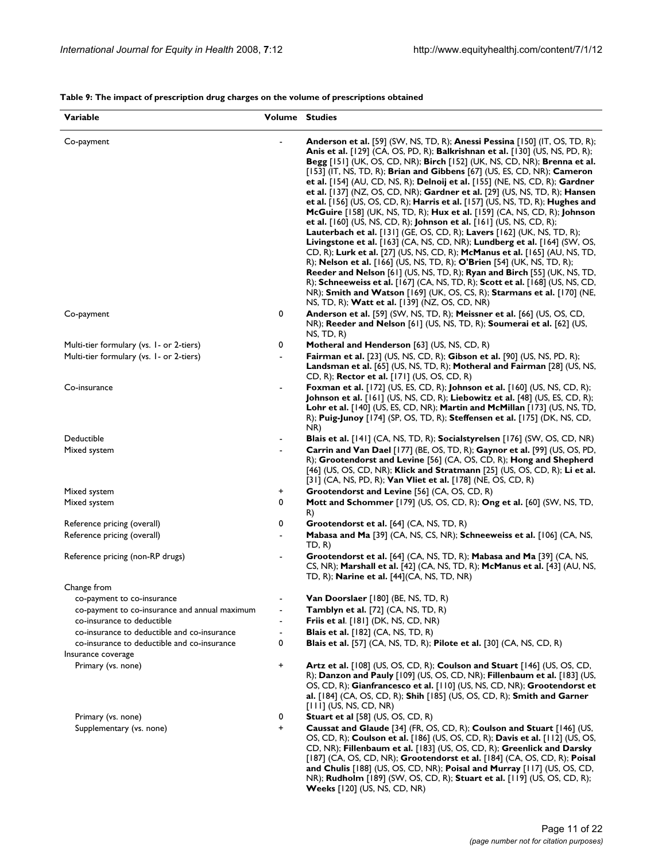#### **Variable Volume Studies** Co-payment - **Anderson et al.** [59] (SW, NS, TD, R); **Anessi Pessina** [150] (IT, OS, TD, R); **Anis et al.** [129] (CA, OS, PD, R); **Balkrishnan et al.** [130] (US, NS, PD, R); **Begg** [151] (UK, OS, CD, NR); **Birch** [152] (UK, NS, CD, NR); **Brenna et al.**  [153] (IT, NS, TD, R); **Brian and Gibbens** [67] (US, ES, CD, NR); **Cameron et al.** [154] (AU, CD, NS, R); **Delnoij et al.** [155] (NE, NS, CD, R); **Gardner et al.** [137] (NZ, OS, CD, NR); **Gardner et al.** [29] (US, NS, TD, R); **Hansen et al.** [156] (US, OS, CD, R); **Harris et al.** [157] (US, NS, TD, R); **Hughes and McGuire** [158] (UK, NS, TD, R); **Hux et al.** [159] (CA, NS, CD, R); **Johnson et al.** [160] (US, NS, CD, R); **Johnson et al.** [161] (US, NS, CD, R); **Lauterbach et al.** [131] (GE, OS, CD, R); **Lavers** [162] (UK, NS, TD, R); **Livingstone et al.** [163] (CA, NS, CD, NR); **Lundberg et al.** [164] (SW, OS, CD, R); **Lurk et al.** [27] (US, NS, CD, R); **McManus et al.** [165] (AU, NS, TD, R); **Nelson et al.** [166] (US, NS, TD, R); **O'Brien** [54] (UK, NS, TD, R); **Reeder and Nelson** [61] (US, NS, TD, R); **Ryan and Birch** [55] (UK, NS, TD, R); **Schneeweiss et al.** [167] (CA, NS, TD, R); **Scott et al.** [168] (US, NS, CD, NR); **Smith and Watson** [169] (UK, OS, CS, R); **Starmans et al.** [170] (NE, NS, TD, R); **Watt et al.** [139] (NZ, OS, CD, NR) Co-payment 0 **Anderson et al.** [59] (SW, NS, TD, R); **Meissner et al.** [66] (US, OS, CD, NR); **Reeder and Nelson** [61] (US, NS, TD, R); **Soumerai et al.** [62] (US, NS, TD, R) Multi-tier formulary (vs. 1- or 2-tiers) 0 **Motheral and Henderson** [63] (US, NS, CD, R) Multi-tier formulary (vs. 1- or 2-tiers) - **Fairman et al.** [23] (US, NS, CD, R); **Gibson et al.** [90] (US, NS, PD, R); **Landsman et al.** [65] (US, NS, TD, R); **Motheral and Fairman** [28] (US, NS, CD, R); **Rector et al.** [171] (US, OS, CD, R) Co-insurance **Foxman et al.** [172] (US, ES, CD, R); **Johnson et al.** [160] (US, NS, CD, R); **Johnson et al.** [161] (US, NS, CD, R); **Liebowitz et al.** [48] (US, ES, CD, R); **Lohr et al.** [140] (US, ES, CD, NR); **Martin and McMillan** [173] (US, NS, TD, R); **Puig-Junoy** [174] (SP, OS, TD, R); **Steffensen et al.** [175] (DK, NS, CD, NR) Deductible - **Blais et al.** [141] (CA, NS, TD, R); **Socialstyrelsen** [176] (SW, OS, CD, NR) Mixed system - **Carrin and Van Dael** [177] (BE, OS, TD, R); **Gaynor et al.** [99] (US, OS, PD, R); **Grootendorst and Levine** [56] (CA, OS, CD, R); **Hong and Shepherd**  [46] (US, OS, CD, NR); **Klick and Stratmann** [25] (US, OS, CD, R); **Li et al.**  [31] (CA, NS, PD, R); **Van Vliet et al.** [178] (NE, OS, CD, R) Mixed system **and Levine EXA Grootendorst and Levine** [56] (CA, OS, CD, R) Mixed system 0 **Mott and Schommer** [179] (US, OS, CD, R); **Ong et al.** [60] (SW, NS, TD, R) Reference pricing (overall) **0 Grootendorst et al.** [64] (CA, NS, TD, R) Reference pricing (overall) - **Mabasa and Ma** [39] (CA, NS, CS, NR); **Schneeweiss et al.** [106] (CA, NS, TD, R) Reference pricing (non-RP drugs) **1999** - **Grootendorst et al.** [64] (CA, NS, TD, R); **Mabasa and Ma** [39] (CA, NS, CS, NR); **Marshall et al.** [42] (CA, NS, TD, R); **McManus et al.** [43] (AU, NS, TD, R); **Narine et al.** [44](CA, NS, TD, NR) Change from co-payment to co-insurance - **Van Doorslaer** [180] (BE, NS, TD, R) co-payment to co-insurance and annual maximum - **Tamblyn et al.** [72] (CA, NS, TD, R) co-insurance to deductible - **Friis et al**. [181] (DK, NS, CD, NR) co-insurance to deductible and co-insurance - **Blais et al.** [182] (CA, NS, TD, R) co-insurance to deductible and co-insurance 0 **Blais et al.** [57] (CA, NS, TD, R); **Pilote et al.** [30] (CA, NS, CD, R) Insurance coverage Primary (vs. none) + **Artz et al.** [108] (US, OS, CD, R); **Coulson and Stuart** [146] (US, OS, CD, R); **Danzon and Pauly** [109] (US, OS, CD, NR); **Fillenbaum et al.** [183] (US, OS, CD, R); **Gianfrancesco et al.** [110] (US, NS, CD, NR); **Grootendorst et al.** [184] (CA, OS, CD, R); **Shih** [185] (US, OS, CD, R); **Smith and Garner**  [111] (US, NS, CD, NR) Primary (vs. none) 0 **Stuart et al** [58] (US, OS, CD, R) Supplementary (vs. none) **+ Caussat and Glaude** [34] (FR, OS, CD, R); **Coulson and Stuart** [146] (US, OS, CD, R); **Coulson et al.** [186] (US, OS, CD, R); **Davis et al.** [112] (US, OS, CD, NR); **Fillenbaum et al.** [183] (US, OS, CD, R); **Greenlick and Darsky**  [187] (CA, OS, CD, NR); **Grootendorst et al.** [184] (CA, OS, CD, R); **Poisal and Chulis** [188] (US, OS, CD, NR); **Poisal and Murray** [117] (US, OS, CD, NR); **Rudholm** [189] (SW, OS, CD, R); **Stuart et al.** [119] (US, OS, CD, R);

**Weeks** [120] (US, NS, CD, NR)

#### **Table 9: The impact of prescription drug charges on the volume of prescriptions obtained**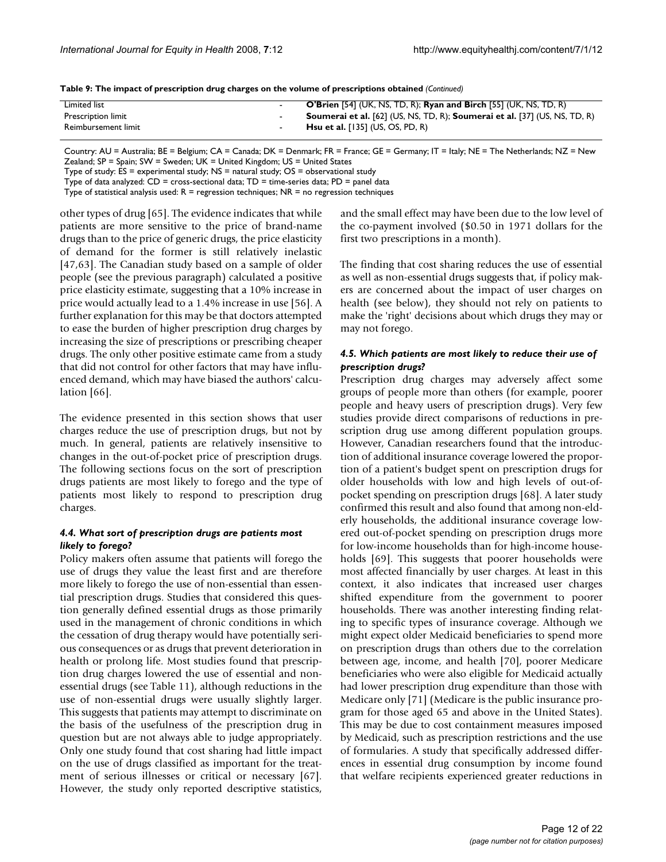| Table 9: The impact of prescription drug charges on the volume of prescriptions obtained (Continued) |  |
|------------------------------------------------------------------------------------------------------|--|
|------------------------------------------------------------------------------------------------------|--|

| Limited list        | <b>O'Brien</b> [54] (UK, NS, TD, R); <b>Ryan and Birch</b> [55] (UK, NS, TD, R)          |
|---------------------|------------------------------------------------------------------------------------------|
| Prescription limit  | <b>Soumerai et al.</b> [62] (US, NS, TD, R); <b>Soumerai et al.</b> [37] (US, NS, TD, R) |
| Reimbursement limit | <b>Hsu et al.</b> [135] (US, OS, PD, R)                                                  |

Country: AU = Australia; BE = Belgium; CA = Canada; DK = Denmark; FR = France; GE = Germany; IT = Italy; NE = The Netherlands; NZ = New Zealand; SP = Spain; SW = Sweden; UK = United Kingdom; US = United States

Type of study:  $ES =$  experimental study:  $NS =$  natural study:  $OS =$  observational study

Type of data analyzed:  $CD =$  cross-sectional data;  $TD =$  time-series data;  $PD =$  panel data

Type of statistical analysis used:  $R =$  regression techniques;  $NR =$  no regression techniques

other types of drug [65]. The evidence indicates that while patients are more sensitive to the price of brand-name drugs than to the price of generic drugs, the price elasticity of demand for the former is still relatively inelastic [47,63]. The Canadian study based on a sample of older people (see the previous paragraph) calculated a positive price elasticity estimate, suggesting that a 10% increase in price would actually lead to a 1.4% increase in use [56]. A further explanation for this may be that doctors attempted to ease the burden of higher prescription drug charges by increasing the size of prescriptions or prescribing cheaper drugs. The only other positive estimate came from a study that did not control for other factors that may have influenced demand, which may have biased the authors' calculation [66].

The evidence presented in this section shows that user charges reduce the use of prescription drugs, but not by much. In general, patients are relatively insensitive to changes in the out-of-pocket price of prescription drugs. The following sections focus on the sort of prescription drugs patients are most likely to forego and the type of patients most likely to respond to prescription drug charges.

# *4.4. What sort of prescription drugs are patients most likely to forego?*

Policy makers often assume that patients will forego the use of drugs they value the least first and are therefore more likely to forego the use of non-essential than essential prescription drugs. Studies that considered this question generally defined essential drugs as those primarily used in the management of chronic conditions in which the cessation of drug therapy would have potentially serious consequences or as drugs that prevent deterioration in health or prolong life. Most studies found that prescription drug charges lowered the use of essential and nonessential drugs (see Table 11), although reductions in the use of non-essential drugs were usually slightly larger. This suggests that patients may attempt to discriminate on the basis of the usefulness of the prescription drug in question but are not always able to judge appropriately. Only one study found that cost sharing had little impact on the use of drugs classified as important for the treatment of serious illnesses or critical or necessary [67]. However, the study only reported descriptive statistics,

and the small effect may have been due to the low level of the co-payment involved (\$0.50 in 1971 dollars for the first two prescriptions in a month).

The finding that cost sharing reduces the use of essential as well as non-essential drugs suggests that, if policy makers are concerned about the impact of user charges on health (see below), they should not rely on patients to make the 'right' decisions about which drugs they may or may not forego.

# *4.5. Which patients are most likely to reduce their use of prescription drugs?*

Prescription drug charges may adversely affect some groups of people more than others (for example, poorer people and heavy users of prescription drugs). Very few studies provide direct comparisons of reductions in prescription drug use among different population groups. However, Canadian researchers found that the introduction of additional insurance coverage lowered the proportion of a patient's budget spent on prescription drugs for older households with low and high levels of out-ofpocket spending on prescription drugs [68]. A later study confirmed this result and also found that among non-elderly households, the additional insurance coverage lowered out-of-pocket spending on prescription drugs more for low-income households than for high-income households [69]. This suggests that poorer households were most affected financially by user charges. At least in this context, it also indicates that increased user charges shifted expenditure from the government to poorer households. There was another interesting finding relating to specific types of insurance coverage. Although we might expect older Medicaid beneficiaries to spend more on prescription drugs than others due to the correlation between age, income, and health [70], poorer Medicare beneficiaries who were also eligible for Medicaid actually had lower prescription drug expenditure than those with Medicare only [71] (Medicare is the public insurance program for those aged 65 and above in the United States). This may be due to cost containment measures imposed by Medicaid, such as prescription restrictions and the use of formularies. A study that specifically addressed differences in essential drug consumption by income found that welfare recipients experienced greater reductions in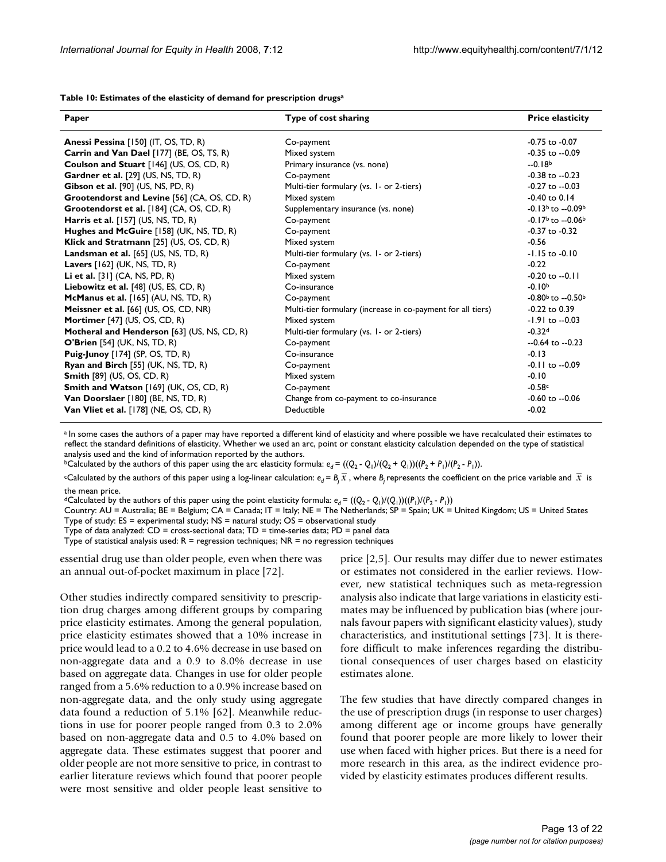| Paper                                         | Type of cost sharing                                        | <b>Price elasticity</b>            |
|-----------------------------------------------|-------------------------------------------------------------|------------------------------------|
| Anessi Pessina [150] (IT, OS, TD, R)          | Co-payment                                                  | -0.75 to -0.07                     |
| Carrin and Van Dael [177] (BE, OS, TS, R)     | Mixed system                                                | $-0.35$ to $-0.09$                 |
| Coulson and Stuart [146] (US, OS, CD, R)      | Primary insurance (vs. none)                                | $-0.18b$                           |
| Gardner et al. [29] (US, NS, TD, R)           | Co-payment                                                  | $-0.38$ to $-0.23$                 |
| <b>Gibson et al.</b> [90] (US, NS, PD, R)     | Multi-tier formulary (vs. 1- or 2-tiers)                    | $-0.27$ to $-0.03$                 |
| Grootendorst and Levine [56] (CA, OS, CD, R)  | Mixed system                                                | $-0.40$ to $0.14$                  |
| Grootendorst et al. [184] (CA, OS, CD, R)     | Supplementary insurance (vs. none)                          | $-0.13b$ to $-0.09b$               |
| Harris et al. [157] (US, NS, TD, R)           | Co-payment                                                  | $-0.17b$ to $-0.06b$               |
| Hughes and McGuire [158] (UK, NS, TD, R)      | Co-payment                                                  | $-0.37$ to $-0.32$                 |
| Klick and Stratmann [25] (US, OS, CD, R)      | Mixed system                                                | $-0.56$                            |
| Landsman et al. [65] (US, NS, TD, R)          | Multi-tier formulary (vs. 1- or 2-tiers)                    | $-1.15$ to $-0.10$                 |
| Lavers [162] (UK, NS, TD, R)                  | Co-payment                                                  | $-0.22$                            |
| <b>Li et al.</b> [31] (CA, NS, PD, R)         | Mixed system                                                | $-0.20$ to $-0.11$                 |
| Liebowitz et al. [48] (US, ES, CD, R)         | Co-insurance                                                | $-0.10b$                           |
| McManus et al. [165] (AU, NS, TD, R)          | Co-payment                                                  | $-0.80^{\rm b}$ to $-0.50^{\rm b}$ |
| Meissner et al. [66] (US, OS, CD, NR)         | Multi-tier formulary (increase in co-payment for all tiers) | -0.22 to 0.39                      |
| Mortimer [47] (US, OS, CD, R)                 | Mixed system                                                | $-1.91$ to $-0.03$                 |
| Motheral and Henderson [63] (US, NS, CD, R)   | Multi-tier formulary (vs. 1- or 2-tiers)                    | $-0.32d$                           |
| <b>O'Brien</b> [54] (UK, NS, TD, R)           | Co-payment                                                  | $-0.64$ to $-0.23$                 |
| <b>Puig-Junoy</b> [174] (SP, OS, TD, R)       | Co-insurance                                                | $-0.13$                            |
| <b>Ryan and Birch</b> [55] (UK, NS, TD, R)    | Co-payment                                                  | -0.11 to --0.09                    |
| <b>Smith [89] (US, OS, CD, R)</b>             | Mixed system                                                | $-0.10$                            |
| <b>Smith and Watson</b> [169] (UK, OS, CD, R) | Co-payment                                                  | $-0.58c$                           |
| Van Doorslaer [180] (BE, NS, TD, R)           | Change from co-payment to co-insurance                      | $-0.60$ to $-0.06$                 |
| Van Vliet et al. [178] (NE, OS, CD, R)        | Deductible                                                  | $-0.02$                            |

**Table 10: Estimates of the elasticity of demand for prescription drugsa**

a In some cases the authors of a paper may have reported a different kind of elasticity and where possible we have recalculated their estimates to reflect the standard definitions of elasticity. Whether we used an arc, point or constant elasticity calculation depended on the type of statistical analysis used and the kind of information reported by the authors.

 $b$ Calculated by the authors of this paper using the arc elasticity formula:  $e_d = ((Q_2 - Q_1)/(Q_2 + Q_1))((P_2 + P_1)/(P_2 - P_1))$ .

 $^c$ Calculated by the authors of this paper using a log-linear calculation:  $e_d$  =  $B_j\bar{x}$  , where  $B_j$  represents the coefficient on the price variable and  $\bar{x}$  is the mean price.

<sup>d</sup>Calculated by the authors of this paper using the point elasticity formula:  $e_d = ((Q_2 - Q_1)/(Q_1))((P_1)/(P_2 - P_1))$ 

Country: AU = Australia; BE = Belgium; CA = Canada; IT = Italy; NE = The Netherlands; SP = Spain; UK = United Kingdom; US = United States

Type of study:  $ES =$  experimental study;  $NS =$  natural study;  $OS =$  observational study

Type of data analyzed:  $CD = cross-sectional data$ ;  $TD = time-series data$ ;  $PD = panel data$ 

Type of statistical analysis used:  $R =$  regression techniques;  $NR =$  no regression techniques

essential drug use than older people, even when there was an annual out-of-pocket maximum in place [72].

Other studies indirectly compared sensitivity to prescription drug charges among different groups by comparing price elasticity estimates. Among the general population, price elasticity estimates showed that a 10% increase in price would lead to a 0.2 to 4.6% decrease in use based on non-aggregate data and a 0.9 to 8.0% decrease in use based on aggregate data. Changes in use for older people ranged from a 5.6% reduction to a 0.9% increase based on non-aggregate data, and the only study using aggregate data found a reduction of 5.1% [62]. Meanwhile reductions in use for poorer people ranged from 0.3 to 2.0% based on non-aggregate data and 0.5 to 4.0% based on aggregate data. These estimates suggest that poorer and older people are not more sensitive to price, in contrast to earlier literature reviews which found that poorer people were most sensitive and older people least sensitive to

price [2,5]. Our results may differ due to newer estimates or estimates not considered in the earlier reviews. However, new statistical techniques such as meta-regression analysis also indicate that large variations in elasticity estimates may be influenced by publication bias (where journals favour papers with significant elasticity values), study characteristics, and institutional settings [73]. It is therefore difficult to make inferences regarding the distributional consequences of user charges based on elasticity estimates alone.

The few studies that have directly compared changes in the use of prescription drugs (in response to user charges) among different age or income groups have generally found that poorer people are more likely to lower their use when faced with higher prices. But there is a need for more research in this area, as the indirect evidence provided by elasticity estimates produces different results.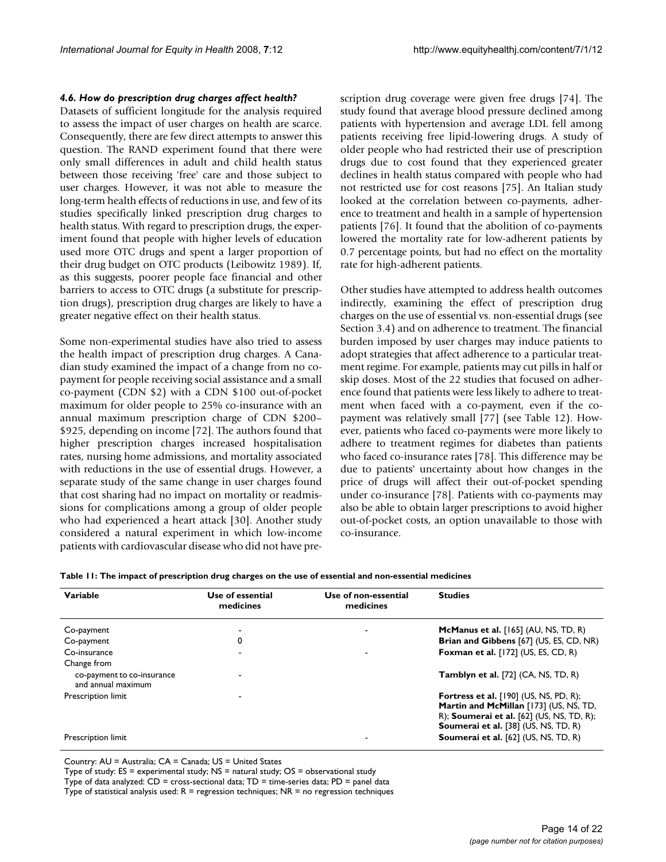# *4.6. How do prescription drug charges affect health?*

Datasets of sufficient longitude for the analysis required to assess the impact of user charges on health are scarce. Consequently, there are few direct attempts to answer this question. The RAND experiment found that there were only small differences in adult and child health status between those receiving 'free' care and those subject to user charges. However, it was not able to measure the long-term health effects of reductions in use, and few of its studies specifically linked prescription drug charges to health status. With regard to prescription drugs, the experiment found that people with higher levels of education used more OTC drugs and spent a larger proportion of their drug budget on OTC products (Leibowitz 1989). If, as this suggests, poorer people face financial and other barriers to access to OTC drugs (a substitute for prescription drugs), prescription drug charges are likely to have a greater negative effect on their health status.

Some non-experimental studies have also tried to assess the health impact of prescription drug charges. A Canadian study examined the impact of a change from no copayment for people receiving social assistance and a small co-payment (CDN \$2) with a CDN \$100 out-of-pocket maximum for older people to 25% co-insurance with an annual maximum prescription charge of CDN \$200– \$925, depending on income [72]. The authors found that higher prescription charges increased hospitalisation rates, nursing home admissions, and mortality associated with reductions in the use of essential drugs. However, a separate study of the same change in user charges found that cost sharing had no impact on mortality or readmissions for complications among a group of older people who had experienced a heart attack [30]. Another study considered a natural experiment in which low-income patients with cardiovascular disease who did not have prescription drug coverage were given free drugs [74]. The study found that average blood pressure declined among patients with hypertension and average LDL fell among patients receiving free lipid-lowering drugs. A study of older people who had restricted their use of prescription drugs due to cost found that they experienced greater declines in health status compared with people who had not restricted use for cost reasons [75]. An Italian study looked at the correlation between co-payments, adherence to treatment and health in a sample of hypertension patients [76]. It found that the abolition of co-payments lowered the mortality rate for low-adherent patients by 0.7 percentage points, but had no effect on the mortality rate for high-adherent patients.

Other studies have attempted to address health outcomes indirectly, examining the effect of prescription drug charges on the use of essential vs. non-essential drugs (see Section 3.4) and on adherence to treatment. The financial burden imposed by user charges may induce patients to adopt strategies that affect adherence to a particular treatment regime. For example, patients may cut pills in half or skip doses. Most of the 22 studies that focused on adherence found that patients were less likely to adhere to treatment when faced with a co-payment, even if the copayment was relatively small [77] (see Table 12). However, patients who faced co-payments were more likely to adhere to treatment regimes for diabetes than patients who faced co-insurance rates [78]. This difference may be due to patients' uncertainty about how changes in the price of drugs will affect their out-of-pocket spending under co-insurance [78]. Patients with co-payments may also be able to obtain larger prescriptions to avoid higher out-of-pocket costs, an option unavailable to those with co-insurance.

**Table 11: The impact of prescription drug charges on the use of essential and non-essential medicines**

| Variable                                                        | Use of essential<br>medicines | Use of non-essential<br>medicines | <b>Studies</b>                                                                                                                                                                      |
|-----------------------------------------------------------------|-------------------------------|-----------------------------------|-------------------------------------------------------------------------------------------------------------------------------------------------------------------------------------|
| Co-payment                                                      |                               |                                   | <b>McManus et al.</b> [165] (AU, NS, TD, R)                                                                                                                                         |
| Co-payment                                                      | 0                             |                                   | Brian and Gibbens [67] (US, ES, CD, NR)                                                                                                                                             |
| Co-insurance                                                    |                               |                                   | <b>Foxman et al.</b> [172] (US, ES, CD, R)                                                                                                                                          |
| Change from<br>co-payment to co-insurance<br>and annual maximum |                               |                                   | <b>Tamblyn et al.</b> [72] (CA, NS, TD, R)                                                                                                                                          |
| Prescription limit                                              |                               |                                   | <b>Fortress et al.</b> [190] (US, NS, PD, R);<br>Martin and McMillan [173] (US, NS, TD,<br>R); Soumerai et al. [62] (US, NS, TD, R);<br><b>Soumerai et al.</b> [38] (US, NS, TD, R) |
| Prescription limit                                              |                               |                                   | <b>Soumerai et al.</b> [62] (US, NS, TD, R)                                                                                                                                         |

Country: AU = Australia; CA = Canada; US = United States

Type of study: ES = experimental study; NS = natural study; OS = observational study Type of data analyzed:  $CD =$  cross-sectional data;  $TD =$  time-series data;  $PD =$  panel data Type of statistical analysis used:  $R =$  regression techniques;  $NR =$  no regression techniques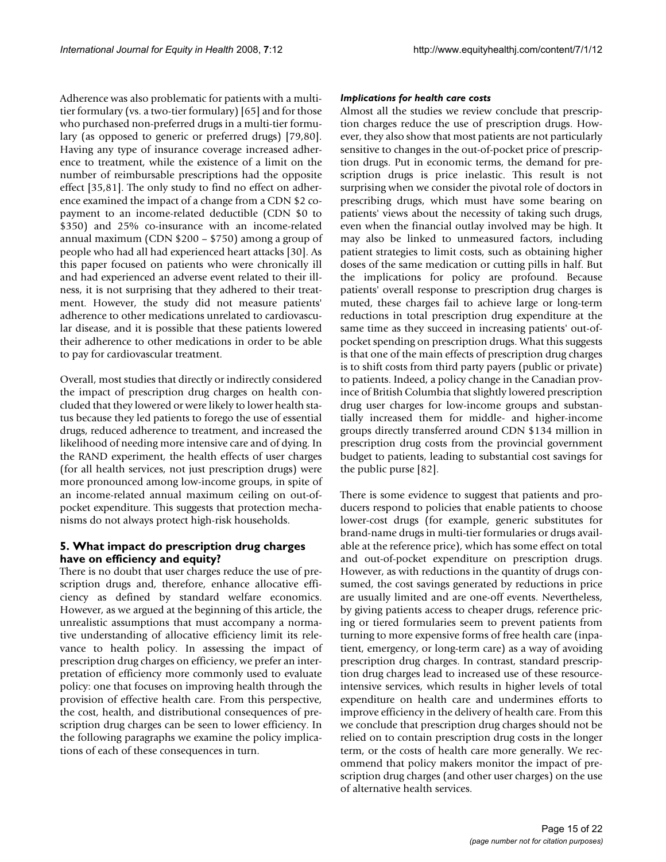Adherence was also problematic for patients with a multitier formulary (vs. a two-tier formulary) [65] and for those who purchased non-preferred drugs in a multi-tier formulary (as opposed to generic or preferred drugs) [79,80]. Having any type of insurance coverage increased adherence to treatment, while the existence of a limit on the number of reimbursable prescriptions had the opposite effect [35,81]. The only study to find no effect on adherence examined the impact of a change from a CDN \$2 copayment to an income-related deductible (CDN \$0 to \$350) and 25% co-insurance with an income-related annual maximum (CDN \$200 – \$750) among a group of people who had all had experienced heart attacks [30]. As this paper focused on patients who were chronically ill and had experienced an adverse event related to their illness, it is not surprising that they adhered to their treatment. However, the study did not measure patients' adherence to other medications unrelated to cardiovascular disease, and it is possible that these patients lowered their adherence to other medications in order to be able to pay for cardiovascular treatment.

Overall, most studies that directly or indirectly considered the impact of prescription drug charges on health concluded that they lowered or were likely to lower health status because they led patients to forego the use of essential drugs, reduced adherence to treatment, and increased the likelihood of needing more intensive care and of dying. In the RAND experiment, the health effects of user charges (for all health services, not just prescription drugs) were more pronounced among low-income groups, in spite of an income-related annual maximum ceiling on out-ofpocket expenditure. This suggests that protection mechanisms do not always protect high-risk households.

# **5. What impact do prescription drug charges have on efficiency and equity?**

There is no doubt that user charges reduce the use of prescription drugs and, therefore, enhance allocative efficiency as defined by standard welfare economics. However, as we argued at the beginning of this article, the unrealistic assumptions that must accompany a normative understanding of allocative efficiency limit its relevance to health policy. In assessing the impact of prescription drug charges on efficiency, we prefer an interpretation of efficiency more commonly used to evaluate policy: one that focuses on improving health through the provision of effective health care. From this perspective, the cost, health, and distributional consequences of prescription drug charges can be seen to lower efficiency. In the following paragraphs we examine the policy implications of each of these consequences in turn.

# *Implications for health care costs*

Almost all the studies we review conclude that prescription charges reduce the use of prescription drugs. However, they also show that most patients are not particularly sensitive to changes in the out-of-pocket price of prescription drugs. Put in economic terms, the demand for prescription drugs is price inelastic. This result is not surprising when we consider the pivotal role of doctors in prescribing drugs, which must have some bearing on patients' views about the necessity of taking such drugs, even when the financial outlay involved may be high. It may also be linked to unmeasured factors, including patient strategies to limit costs, such as obtaining higher doses of the same medication or cutting pills in half. But the implications for policy are profound. Because patients' overall response to prescription drug charges is muted, these charges fail to achieve large or long-term reductions in total prescription drug expenditure at the same time as they succeed in increasing patients' out-ofpocket spending on prescription drugs. What this suggests is that one of the main effects of prescription drug charges is to shift costs from third party payers (public or private) to patients. Indeed, a policy change in the Canadian province of British Columbia that slightly lowered prescription drug user charges for low-income groups and substantially increased them for middle- and higher-income groups directly transferred around CDN \$134 million in prescription drug costs from the provincial government budget to patients, leading to substantial cost savings for the public purse [82].

There is some evidence to suggest that patients and producers respond to policies that enable patients to choose lower-cost drugs (for example, generic substitutes for brand-name drugs in multi-tier formularies or drugs available at the reference price), which has some effect on total and out-of-pocket expenditure on prescription drugs. However, as with reductions in the quantity of drugs consumed, the cost savings generated by reductions in price are usually limited and are one-off events. Nevertheless, by giving patients access to cheaper drugs, reference pricing or tiered formularies seem to prevent patients from turning to more expensive forms of free health care (inpatient, emergency, or long-term care) as a way of avoiding prescription drug charges. In contrast, standard prescription drug charges lead to increased use of these resourceintensive services, which results in higher levels of total expenditure on health care and undermines efforts to improve efficiency in the delivery of health care. From this we conclude that prescription drug charges should not be relied on to contain prescription drug costs in the longer term, or the costs of health care more generally. We recommend that policy makers monitor the impact of prescription drug charges (and other user charges) on the use of alternative health services.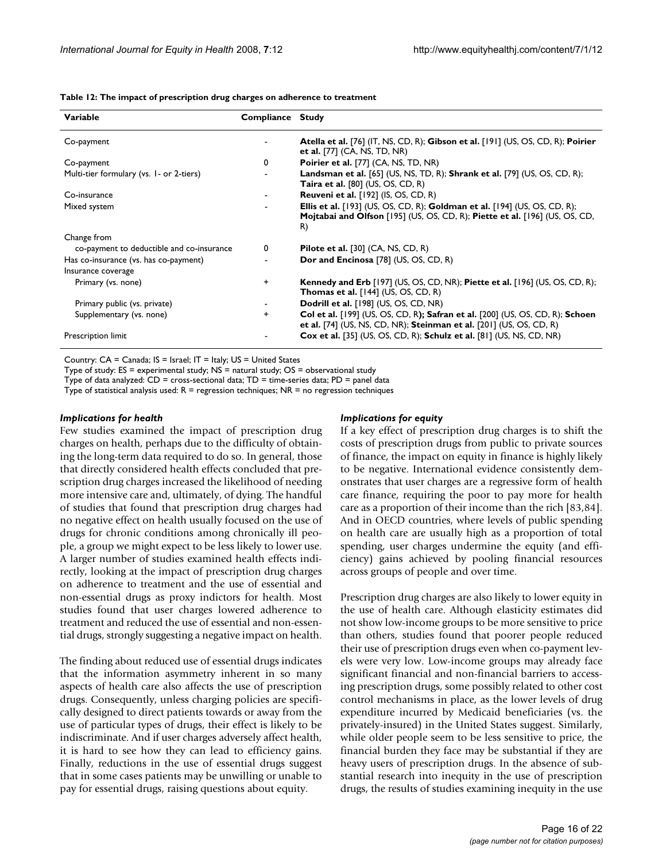| Variable                                                    | <b>Compliance Study</b>  |                                                                                                                                                                              |
|-------------------------------------------------------------|--------------------------|------------------------------------------------------------------------------------------------------------------------------------------------------------------------------|
| Co-payment                                                  |                          | Atella et al. [76] (IT, NS, CD, R); Gibson et al. [191] (US, OS, CD, R); Poirier<br>et al. [77] (CA, NS, TD, NR)                                                             |
| Co-payment                                                  | 0                        | Poirier et al. [77] (CA, NS, TD, NR)                                                                                                                                         |
| Multi-tier formulary (vs. 1- or 2-tiers)                    |                          | <b>Landsman et al.</b> [65] (US, NS, TD, R); <b>Shrank et al.</b> [79] (US, OS, CD, R);<br><b>Taira et al.</b> [80] (US, OS, CD, R)                                          |
| Co-insurance                                                | $\overline{\phantom{0}}$ | <b>Reuveni et al.</b> [192] (IS, OS, CD, R)                                                                                                                                  |
| Mixed system                                                | $\overline{\phantom{0}}$ | <b>Ellis et al.</b> [193] (US, OS, CD, R); <b>Goldman et al.</b> [194] (US, OS, CD, R);<br>Mojtabai and Olfson [195] (US, OS, CD, R); Piette et al. [196] (US, OS, CD,<br>R) |
| Change from                                                 |                          |                                                                                                                                                                              |
| co-payment to deductible and co-insurance                   | 0                        | <b>Pilote et al.</b> [30] $(CA, NS, CD, R)$                                                                                                                                  |
| Has co-insurance (vs. has co-payment)<br>Insurance coverage |                          | Dor and Encinosa [78] (US, OS, CD, R)                                                                                                                                        |
| Primary (vs. none)                                          | $\ddot{}$                | <b>Kennedy and Erb</b> [197] (US, OS, CD, NR); <b>Piette et al.</b> [196] (US, OS, CD, R);<br><b>Thomas et al.</b> $[144]$ (US, OS, CD, R)                                   |
| Primary public (vs. private)                                | $\overline{\phantom{a}}$ | Dodrill et al. [198] (US, OS, CD, NR)                                                                                                                                        |
| Supplementary (vs. none)                                    | +                        | Col et al. [199] (US, OS, CD, R); Safran et al. [200] (US, OS, CD, R); Schoen<br>et al. [74] (US, NS, CD, NR); Steinman et al. [201] (US, OS, CD, R)                         |
| Prescription limit                                          |                          | <b>Cox et al.</b> [35] (US, OS, CD, R); <b>Schulz et al.</b> [81] (US, NS, CD, NR)                                                                                           |

#### **Table 12: The impact of prescription drug charges on adherence to treatment**

Country: CA = Canada; IS = Israel; IT = Italy; US = United States

Type of study: ES = experimental study; NS = natural study; OS = observational study

Type of data analyzed:  $CD = cross-sectional data$ ;  $TD = time-series data$ ;  $PD = panel data$ 

Type of statistical analysis used:  $R =$  regression techniques;  $NR =$  no regression techniques

#### *Implications for health*

Few studies examined the impact of prescription drug charges on health, perhaps due to the difficulty of obtaining the long-term data required to do so. In general, those that directly considered health effects concluded that prescription drug charges increased the likelihood of needing more intensive care and, ultimately, of dying. The handful of studies that found that prescription drug charges had no negative effect on health usually focused on the use of drugs for chronic conditions among chronically ill people, a group we might expect to be less likely to lower use. A larger number of studies examined health effects indirectly, looking at the impact of prescription drug charges on adherence to treatment and the use of essential and non-essential drugs as proxy indictors for health. Most studies found that user charges lowered adherence to treatment and reduced the use of essential and non-essential drugs, strongly suggesting a negative impact on health.

The finding about reduced use of essential drugs indicates that the information asymmetry inherent in so many aspects of health care also affects the use of prescription drugs. Consequently, unless charging policies are specifically designed to direct patients towards or away from the use of particular types of drugs, their effect is likely to be indiscriminate. And if user charges adversely affect health, it is hard to see how they can lead to efficiency gains. Finally, reductions in the use of essential drugs suggest that in some cases patients may be unwilling or unable to pay for essential drugs, raising questions about equity.

#### *Implications for equity*

If a key effect of prescription drug charges is to shift the costs of prescription drugs from public to private sources of finance, the impact on equity in finance is highly likely to be negative. International evidence consistently demonstrates that user charges are a regressive form of health care finance, requiring the poor to pay more for health care as a proportion of their income than the rich [83,84]. And in OECD countries, where levels of public spending on health care are usually high as a proportion of total spending, user charges undermine the equity (and efficiency) gains achieved by pooling financial resources across groups of people and over time.

Prescription drug charges are also likely to lower equity in the use of health care. Although elasticity estimates did not show low-income groups to be more sensitive to price than others, studies found that poorer people reduced their use of prescription drugs even when co-payment levels were very low. Low-income groups may already face significant financial and non-financial barriers to accessing prescription drugs, some possibly related to other cost control mechanisms in place, as the lower levels of drug expenditure incurred by Medicaid beneficiaries (vs. the privately-insured) in the United States suggest. Similarly, while older people seem to be less sensitive to price, the financial burden they face may be substantial if they are heavy users of prescription drugs. In the absence of substantial research into inequity in the use of prescription drugs, the results of studies examining inequity in the use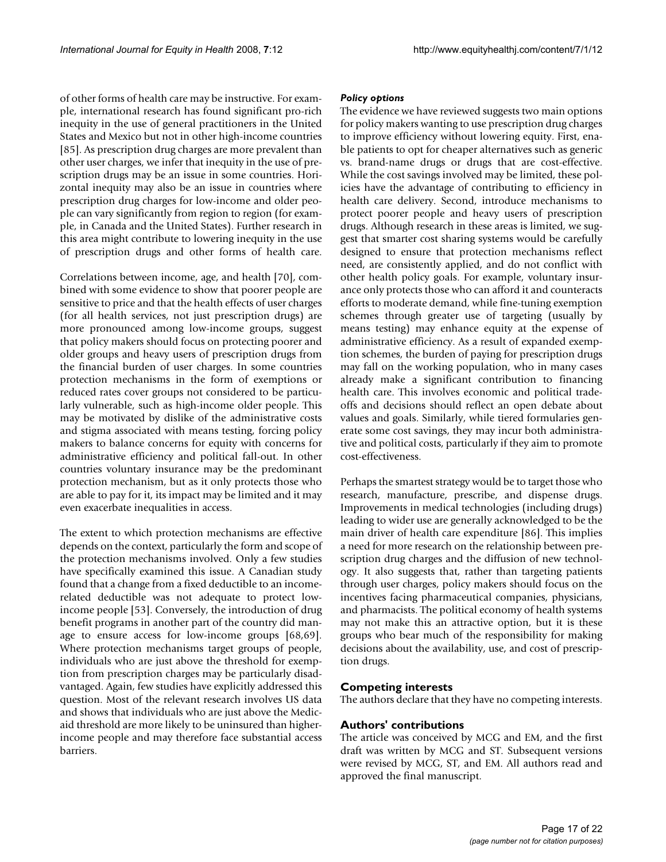of other forms of health care may be instructive. For example, international research has found significant pro-rich inequity in the use of general practitioners in the United States and Mexico but not in other high-income countries [85]. As prescription drug charges are more prevalent than other user charges, we infer that inequity in the use of prescription drugs may be an issue in some countries. Horizontal inequity may also be an issue in countries where prescription drug charges for low-income and older people can vary significantly from region to region (for example, in Canada and the United States). Further research in this area might contribute to lowering inequity in the use of prescription drugs and other forms of health care.

Correlations between income, age, and health [70], combined with some evidence to show that poorer people are sensitive to price and that the health effects of user charges (for all health services, not just prescription drugs) are more pronounced among low-income groups, suggest that policy makers should focus on protecting poorer and older groups and heavy users of prescription drugs from the financial burden of user charges. In some countries protection mechanisms in the form of exemptions or reduced rates cover groups not considered to be particularly vulnerable, such as high-income older people. This may be motivated by dislike of the administrative costs and stigma associated with means testing, forcing policy makers to balance concerns for equity with concerns for administrative efficiency and political fall-out. In other countries voluntary insurance may be the predominant protection mechanism, but as it only protects those who are able to pay for it, its impact may be limited and it may even exacerbate inequalities in access.

The extent to which protection mechanisms are effective depends on the context, particularly the form and scope of the protection mechanisms involved. Only a few studies have specifically examined this issue. A Canadian study found that a change from a fixed deductible to an incomerelated deductible was not adequate to protect lowincome people [53]. Conversely, the introduction of drug benefit programs in another part of the country did manage to ensure access for low-income groups [68,69]. Where protection mechanisms target groups of people, individuals who are just above the threshold for exemption from prescription charges may be particularly disadvantaged. Again, few studies have explicitly addressed this question. Most of the relevant research involves US data and shows that individuals who are just above the Medicaid threshold are more likely to be uninsured than higherincome people and may therefore face substantial access barriers.

# *Policy options*

The evidence we have reviewed suggests two main options for policy makers wanting to use prescription drug charges to improve efficiency without lowering equity. First, enable patients to opt for cheaper alternatives such as generic vs. brand-name drugs or drugs that are cost-effective. While the cost savings involved may be limited, these policies have the advantage of contributing to efficiency in health care delivery. Second, introduce mechanisms to protect poorer people and heavy users of prescription drugs. Although research in these areas is limited, we suggest that smarter cost sharing systems would be carefully designed to ensure that protection mechanisms reflect need, are consistently applied, and do not conflict with other health policy goals. For example, voluntary insurance only protects those who can afford it and counteracts efforts to moderate demand, while fine-tuning exemption schemes through greater use of targeting (usually by means testing) may enhance equity at the expense of administrative efficiency. As a result of expanded exemption schemes, the burden of paying for prescription drugs may fall on the working population, who in many cases already make a significant contribution to financing health care. This involves economic and political tradeoffs and decisions should reflect an open debate about values and goals. Similarly, while tiered formularies generate some cost savings, they may incur both administrative and political costs, particularly if they aim to promote cost-effectiveness.

Perhaps the smartest strategy would be to target those who research, manufacture, prescribe, and dispense drugs. Improvements in medical technologies (including drugs) leading to wider use are generally acknowledged to be the main driver of health care expenditure [86]. This implies a need for more research on the relationship between prescription drug charges and the diffusion of new technology. It also suggests that, rather than targeting patients through user charges, policy makers should focus on the incentives facing pharmaceutical companies, physicians, and pharmacists. The political economy of health systems may not make this an attractive option, but it is these groups who bear much of the responsibility for making decisions about the availability, use, and cost of prescription drugs.

# **Competing interests**

The authors declare that they have no competing interests.

# **Authors' contributions**

The article was conceived by MCG and EM, and the first draft was written by MCG and ST. Subsequent versions were revised by MCG, ST, and EM. All authors read and approved the final manuscript.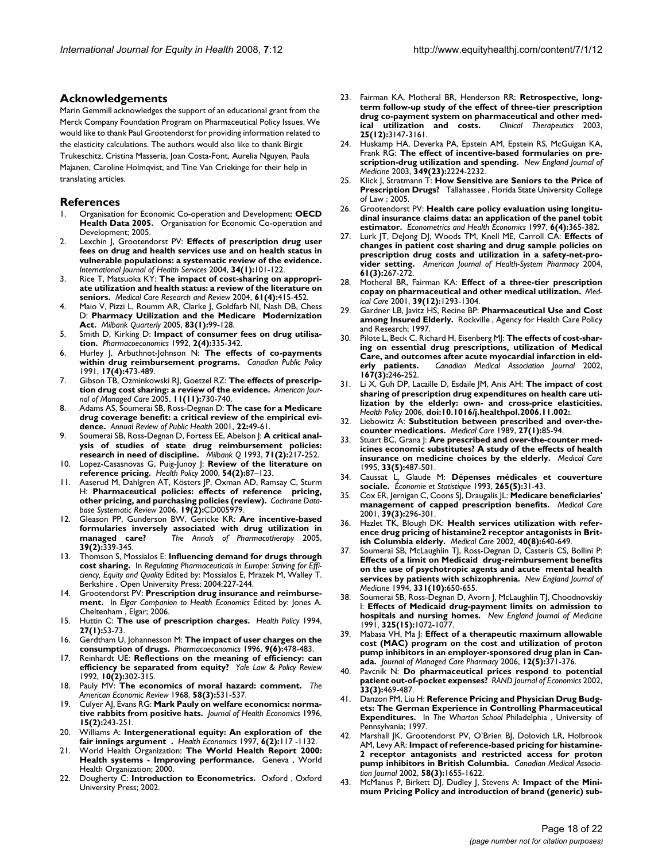### **Acknowledgements**

Marin Gemmill acknowledges the support of an educational grant from the Merck Company Foundation Program on Pharmaceutical Policy Issues. We would like to thank Paul Grootendorst for providing information related to the elasticity calculations. The authors would also like to thank Birgit Trukeschitz, Cristina Masseria, Joan Costa-Font, Aurelia Nguyen, Paula Majanen, Caroline Holmqvist, and Tine Van Criekinge for their help in translating articles.

### **References**

- 1. Organisation for Economic Co-operation and Development: **OECD Health Data 2005.** Organisation for Economic Co-operation and Development; 2005.
- 2. Lexchin J, Grootendorst PV: **[Effects of prescription drug user](http://www.ncbi.nlm.nih.gov/entrez/query.fcgi?cmd=Retrieve&db=PubMed&dopt=Abstract&list_uids=15088676) [fees on drug and health services use and on health status in](http://www.ncbi.nlm.nih.gov/entrez/query.fcgi?cmd=Retrieve&db=PubMed&dopt=Abstract&list_uids=15088676) vulnerable populations: a systematic review of the evidence.** *International Journal of Health Services* 2004, **34(1):**101-122.
- Rice T, Matsuoka KY: The impact of cost-sharing on appropri**ate utilization and health status: a review of the literature on seniors.** *Medical Care Research and Review* 2004, **61(4):**415-452.
- 4. Maio V, Pizzi L, Roumm AR, Clarke J, Goldfarb NI, Nash DB, Chess D: **Pharmacy Utilization and the Medicare Modernization Act.** *Milbank Quarterly* 2005, **83(1):**99-128.
- 5. Smith D, Kirking D: **[Impact of consumer fees on drug utilisa](http://www.ncbi.nlm.nih.gov/entrez/query.fcgi?cmd=Retrieve&db=PubMed&dopt=Abstract&list_uids=10147046)[tion.](http://www.ncbi.nlm.nih.gov/entrez/query.fcgi?cmd=Retrieve&db=PubMed&dopt=Abstract&list_uids=10147046)** *Pharmacoeconomics* 1992, **2(4):**335-342.
- 6. Hurley J, Arbuthnot-Johnson N: **The effects of co-payments within drug reimbursement programs.** *Canadian Public Policy* 1991, **17(4):**473-489.
- 7. Gibson TB, Ozminkowski RJ, Goetzel RZ: **[The effects of prescrip](http://www.ncbi.nlm.nih.gov/entrez/query.fcgi?cmd=Retrieve&db=PubMed&dopt=Abstract&list_uids=16268755)[tion drug cost sharing: a review of the evidence.](http://www.ncbi.nlm.nih.gov/entrez/query.fcgi?cmd=Retrieve&db=PubMed&dopt=Abstract&list_uids=16268755)** *American Journal of Managed Care* 2005, **11(11):**730-740.
- 8. Adams AS, Soumerai SB, Ross-Degnan D: **[The case for a Medicare](http://www.ncbi.nlm.nih.gov/entrez/query.fcgi?cmd=Retrieve&db=PubMed&dopt=Abstract&list_uids=11274510) [drug coverage benefit: a critical review of the empirical evi](http://www.ncbi.nlm.nih.gov/entrez/query.fcgi?cmd=Retrieve&db=PubMed&dopt=Abstract&list_uids=11274510)[dence.](http://www.ncbi.nlm.nih.gov/entrez/query.fcgi?cmd=Retrieve&db=PubMed&dopt=Abstract&list_uids=11274510)** *Annual Review of Public Health* 2001, **22:**49-61.
- 9. Soumerai SB, Ross-Degnan D, Fortess EE, Abelson J: **[A critical anal](http://www.ncbi.nlm.nih.gov/entrez/query.fcgi?cmd=Retrieve&db=PubMed&dopt=Abstract&list_uids=8510601)[ysis of studies of state drug reimbursement policies:](http://www.ncbi.nlm.nih.gov/entrez/query.fcgi?cmd=Retrieve&db=PubMed&dopt=Abstract&list_uids=8510601) [research in need of discipline.](http://www.ncbi.nlm.nih.gov/entrez/query.fcgi?cmd=Retrieve&db=PubMed&dopt=Abstract&list_uids=8510601)** *Milbank Q* 1993, **71(2):**217-252.
- 10. Lopez-Casasnovas G, Puig-Junoy J: **Review of the literature on reference pricing.** *Health Policy* 2000, **54(2):**87–123.
- 11. Aaserud M, Dahlgren AT, Kösters JP, Oxman AD, Ramsay C, Sturm H: **Pharmaceutical policies: effects of reference pricing, other pricing, and purchasing policies (review).** *Cochrane Database Systematic Review* 2006, **19(2):**CD005979.
- 12. Gleason PP, Gunderson BW, Gericke KR: **[Are incentive-based](http://www.ncbi.nlm.nih.gov/entrez/query.fcgi?cmd=Retrieve&db=PubMed&dopt=Abstract&list_uids=15644478) [formularies inversely associated with drug utilization in](http://www.ncbi.nlm.nih.gov/entrez/query.fcgi?cmd=Retrieve&db=PubMed&dopt=Abstract&list_uids=15644478) [managed care?](http://www.ncbi.nlm.nih.gov/entrez/query.fcgi?cmd=Retrieve&db=PubMed&dopt=Abstract&list_uids=15644478)** *The Annals of Pharmacotherapy* 2005, **39(2):**339-345.
- 13. Thomson S, Mossialos E: **Influencing demand for drugs through cost sharing.** In *Regulating Pharmaceuticals in Europe: Striving for Efficiency, Equity and Quality* Edited by: Mossialos E, Mrazek M, Walley T. Berkshire , Open University Press; 2004:227-244.
- 14. Grootendorst PV: **Prescription drug insurance and reimbursement.** In *Elgar Companion to Health Economics* Edited by: Jones A. Cheltenham , Elgar; 2006.
- 15. Huttin C: **[The use of prescription charges.](http://www.ncbi.nlm.nih.gov/entrez/query.fcgi?cmd=Retrieve&db=PubMed&dopt=Abstract&list_uids=10133137)** *Health Policy* 1994, **27(1):**53-73.
- 16. Gerdtham U, Johannesson M: **[The impact of user charges on the](http://www.ncbi.nlm.nih.gov/entrez/query.fcgi?cmd=Retrieve&db=PubMed&dopt=Abstract&list_uids=10160475) [consumption of drugs.](http://www.ncbi.nlm.nih.gov/entrez/query.fcgi?cmd=Retrieve&db=PubMed&dopt=Abstract&list_uids=10160475)** *Pharmacoeconomics* 1996, **9(6):**478-483.
- 17. Reinhardt UE: **Reflections on the meaning of efficiency: can efficiency be separated from equity?** *Yale Law & Policy Review* 1992, **10(2):**302-315.
- 18. Pauly MV: **The economics of moral hazard: comment.** *The American Economic Review* 1968, **58(3):**531-537.
- 19. Culyer AJ, Evans RG: **[Mark Pauly on welfare economics: norma](http://www.ncbi.nlm.nih.gov/entrez/query.fcgi?cmd=Retrieve&db=PubMed&dopt=Abstract&list_uids=10159112)[tive rabbits from positive hats.](http://www.ncbi.nlm.nih.gov/entrez/query.fcgi?cmd=Retrieve&db=PubMed&dopt=Abstract&list_uids=10159112)** *Journal of Health Economics* 1996, **15(2):**243-251.
- 20. Williams A: **[Intergenerational equity: An exploration of the](http://www.ncbi.nlm.nih.gov/entrez/query.fcgi?cmd=Retrieve&db=PubMed&dopt=Abstract&list_uids=9158965) [fair innings argument .](http://www.ncbi.nlm.nih.gov/entrez/query.fcgi?cmd=Retrieve&db=PubMed&dopt=Abstract&list_uids=9158965)** *Health Economics* 1997, **6(2):**117 -1132.
- 21. World Health Organization: **The World Health Report 2000: Health systems - Improving performance.** Geneva , World Health Organization; 2000.
- 22. Dougherty C: **Introduction to Econometrics.** Oxford , Oxford University Press; 2002.
- 23. Fairman KA, Motheral BR, Henderson RR: **[Retrospective, long](http://www.ncbi.nlm.nih.gov/entrez/query.fcgi?cmd=Retrieve&db=PubMed&dopt=Abstract&list_uids=14749153)[term follow-up study of the effect of three-tier prescription](http://www.ncbi.nlm.nih.gov/entrez/query.fcgi?cmd=Retrieve&db=PubMed&dopt=Abstract&list_uids=14749153) drug co-payment system on pharmaceutical and other med[ical utilization and costs.](http://www.ncbi.nlm.nih.gov/entrez/query.fcgi?cmd=Retrieve&db=PubMed&dopt=Abstract&list_uids=14749153)** *Clinical Therapeutics* 2003, **25(12):**3147-3161.
- 24. Huskamp HA, Deverka PA, Epstein AM, Epstein RS, McGuigan KA, Frank RG: **[The effect of incentive-based formularies on pre](http://www.ncbi.nlm.nih.gov/entrez/query.fcgi?cmd=Retrieve&db=PubMed&dopt=Abstract&list_uids=14657430)[scription-drug utilization and spending.](http://www.ncbi.nlm.nih.gov/entrez/query.fcgi?cmd=Retrieve&db=PubMed&dopt=Abstract&list_uids=14657430)** *New England Journal of Medicine* 2003, **349(23):**2224-2232.
- 25. Klick J, Stratmann T: **[How Sensitive are Seniors to the Price of](http://www.ncbi.nlm.nih.gov/entrez/query.fcgi?cmd=Retrieve&db=PubMed&dopt=Abstract&list_uids=15842084) [Prescription Drugs?](http://www.ncbi.nlm.nih.gov/entrez/query.fcgi?cmd=Retrieve&db=PubMed&dopt=Abstract&list_uids=15842084)** Tallahassee , Florida State University College of Law ; 2005.
- 26. Grootendorst PV: **Health care policy evaluation using longitudinal insurance claims data: an application of the panel tobit estimator.** *Econometrics and Health Economics* 1997, **6(4):**365-382.
- Lurk JT, DeJong DJ, Woods TM, Knell ME, Carroll CA: [Effects of](http://www.ncbi.nlm.nih.gov/entrez/query.fcgi?cmd=Retrieve&db=PubMed&dopt=Abstract&list_uids=14986557) **[changes in patient cost sharing and drug sample policies on](http://www.ncbi.nlm.nih.gov/entrez/query.fcgi?cmd=Retrieve&db=PubMed&dopt=Abstract&list_uids=14986557) prescription drug costs and utilization in a safety-net-pro[vider setting.](http://www.ncbi.nlm.nih.gov/entrez/query.fcgi?cmd=Retrieve&db=PubMed&dopt=Abstract&list_uids=14986557)** *American Journal of Health-System Pharmacy* 2004, **61(3):**267-272.
- 28. Motheral BR, Fairman KA: **[Effect of a three-tier prescription](http://www.ncbi.nlm.nih.gov/entrez/query.fcgi?cmd=Retrieve&db=PubMed&dopt=Abstract&list_uids=11717571) [copay on pharmaceutical and other medical utilization.](http://www.ncbi.nlm.nih.gov/entrez/query.fcgi?cmd=Retrieve&db=PubMed&dopt=Abstract&list_uids=11717571)** *Medical Care* 2001, **39(12):**1293-1304.
- 29. Gardner LB, Javitz HS, Recine BP: **Pharmaceutical Use and Cost among Insured Elderly.** Rockville , Agency for Health Care Policy and Research; 1997.
- 30. Pilote L, Beck C, Richard H, Eisenberg MJ: **[The effects of cost-shar](http://www.ncbi.nlm.nih.gov/entrez/query.fcgi?cmd=Retrieve&db=PubMed&dopt=Abstract&list_uids=12186169)[ing on essential drug prescriptions, utilization of Medical](http://www.ncbi.nlm.nih.gov/entrez/query.fcgi?cmd=Retrieve&db=PubMed&dopt=Abstract&list_uids=12186169) Care, and outcomes after acute myocardial infarction in eld[erly patients.](http://www.ncbi.nlm.nih.gov/entrez/query.fcgi?cmd=Retrieve&db=PubMed&dopt=Abstract&list_uids=12186169)** *Canadian Medical Association Journal* 2002, **167(3):**246-252.
- 31. Li X, Guh DP, Lacaille D, Esdaile JM, Anis AH: **The impact of cost sharing of prescription drug expenditures on health care utilization by the elderly: own- and cross-price elasticities.** *Health Policy* 2006, **doi:10.1016/j.healthpol.2006.11.002:**.
- Liebowitz A: [Substitution between prescribed and over-the](http://www.ncbi.nlm.nih.gov/entrez/query.fcgi?cmd=Retrieve&db=PubMed&dopt=Abstract&list_uids=2911221)**[counter medications.](http://www.ncbi.nlm.nih.gov/entrez/query.fcgi?cmd=Retrieve&db=PubMed&dopt=Abstract&list_uids=2911221)** *Medical Care* 1989, **27(1):**85-94.
- 33. Stuart BC, Grana J: **[Are prescribed and over-the-counter med](http://www.ncbi.nlm.nih.gov/entrez/query.fcgi?cmd=Retrieve&db=PubMed&dopt=Abstract&list_uids=7739273)[icines economic substitutes? A study of the effects of health](http://www.ncbi.nlm.nih.gov/entrez/query.fcgi?cmd=Retrieve&db=PubMed&dopt=Abstract&list_uids=7739273) [insurance on medicine choices by the elderly.](http://www.ncbi.nlm.nih.gov/entrez/query.fcgi?cmd=Retrieve&db=PubMed&dopt=Abstract&list_uids=7739273)** *Medical Care* 1995, **33(5):**487-501.
- 34. Caussat L, Glaude M: **Dépenses médicales et couverture sociale.** *Économie et Statistique* 1993, **265(5):**31-43.
- 35. Cox ER, Jernigan C, Coons SJ, Draugalis JL: **[Medicare beneficiaries'](http://www.ncbi.nlm.nih.gov/entrez/query.fcgi?cmd=Retrieve&db=PubMed&dopt=Abstract&list_uids=11242323) [management of capped prescription benefits.](http://www.ncbi.nlm.nih.gov/entrez/query.fcgi?cmd=Retrieve&db=PubMed&dopt=Abstract&list_uids=11242323)** *Medical Care* 2001, **39(3):**296-301.
- 36. Hazlet TK, Blough DK: [Health services utilization with refer](http://www.ncbi.nlm.nih.gov/entrez/query.fcgi?cmd=Retrieve&db=PubMed&dopt=Abstract&list_uids=12187178)**[ence drug pricing of histamine2 receptor antagonists in Brit](http://www.ncbi.nlm.nih.gov/entrez/query.fcgi?cmd=Retrieve&db=PubMed&dopt=Abstract&list_uids=12187178)[ish Columbia elderly.](http://www.ncbi.nlm.nih.gov/entrez/query.fcgi?cmd=Retrieve&db=PubMed&dopt=Abstract&list_uids=12187178)** *Medical Care* 2002, **40(8):**640-649.
- 37. Soumerai SB, McLaughlin TJ, Ross-Degnan D, Casteris CS, Bollini P: **[Effects of a limit on Medicaid drug-reimbursement benefits](http://www.ncbi.nlm.nih.gov/entrez/query.fcgi?cmd=Retrieve&db=PubMed&dopt=Abstract&list_uids=8052275) on the use of psychotropic agents and acute mental health [services by patients with schizophrenia.](http://www.ncbi.nlm.nih.gov/entrez/query.fcgi?cmd=Retrieve&db=PubMed&dopt=Abstract&list_uids=8052275)** *New England Journal of Medicine* 1994, **331(10):**650-655.
- 38. Soumerai SB, Ross-Degnan D, Avorn J, McLaughlin TJ, Choodnovskiy I: **[Effects of Medicaid drug-payment limits on admission to](http://www.ncbi.nlm.nih.gov/entrez/query.fcgi?cmd=Retrieve&db=PubMed&dopt=Abstract&list_uids=1891009) [hospitals and nursing homes.](http://www.ncbi.nlm.nih.gov/entrez/query.fcgi?cmd=Retrieve&db=PubMed&dopt=Abstract&list_uids=1891009)** *New England Journal of Medicine* 1991, **325(15):**1072-1077.
- 39. Mabasa VH, Ma J: **[Effect of a therapeutic maximum allowable](http://www.ncbi.nlm.nih.gov/entrez/query.fcgi?cmd=Retrieve&db=PubMed&dopt=Abstract&list_uids=16792443) [cost \(MAC\) program on the cost and utilization of proton](http://www.ncbi.nlm.nih.gov/entrez/query.fcgi?cmd=Retrieve&db=PubMed&dopt=Abstract&list_uids=16792443) pump inhibitors in an employer-sponsored drug plan in Can[ada.](http://www.ncbi.nlm.nih.gov/entrez/query.fcgi?cmd=Retrieve&db=PubMed&dopt=Abstract&list_uids=16792443)** *Journal of Managed Care Pharmacy* 2006, **12(5):**371-376.
- 40. Pavcnik N: **[Do pharmaceutical prices respond to potential](http://www.ncbi.nlm.nih.gov/entrez/query.fcgi?cmd=Retrieve&db=PubMed&dopt=Abstract&list_uids=12585303) [patient out-of-pocket expenses?](http://www.ncbi.nlm.nih.gov/entrez/query.fcgi?cmd=Retrieve&db=PubMed&dopt=Abstract&list_uids=12585303)** *RAND Journal of Economics* 2002, **33(3):**469-487.
- 41. Danzon PM, Liu H: **Reference Pricing and Physician Drug Budgets: The German Experience in Controlling Pharmaceutical Expenditures.** In *The Wharton School* Philadelphia , University of Pennsylvania; 1997.
- 42. Marshall JK, Grootendorst PV, O'Brien BJ, Dolovich LR, Holbrook AM, Levy AR: **[Impact of reference-based pricing for histamine-](http://www.ncbi.nlm.nih.gov/entrez/query.fcgi?cmd=Retrieve&db=PubMed&dopt=Abstract&list_uids=12126319)[2 receptor antagonists and restricted access for proton](http://www.ncbi.nlm.nih.gov/entrez/query.fcgi?cmd=Retrieve&db=PubMed&dopt=Abstract&list_uids=12126319) [pump inhibitors in British Columbia.](http://www.ncbi.nlm.nih.gov/entrez/query.fcgi?cmd=Retrieve&db=PubMed&dopt=Abstract&list_uids=12126319)** *Canadian Medical Association Journal* 2002, **58(3):**1655-1622.
- 43. McManus P, Birkett DJ, Dudley J, Stevens A: **Impact of the Minimum Pricing Policy and introduction of brand (generic) sub-**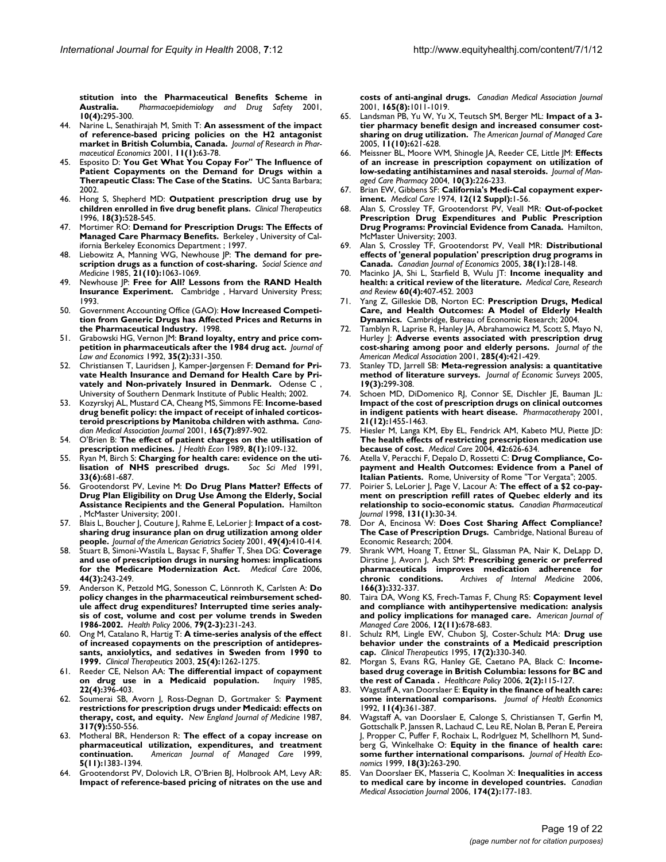stitution into the Pharmaceutical Benefits Scheme in<br>Australia. Pharmacoepidemiology and Drug Safety 2001. Australia. Pharmacoepidemiology and Drug Safety **10(4):**295-300.

- 44. Narine L, Senathirajah M, Smith T: **An assessment of the impact of reference-based pricing policies on the H2 antagonist market in British Columbia, Canada.** *Journal of Research in Pharmaceutical Economics* 2001, **11(1):**63-78.
- 45. Esposito D: **You Get What You Copay For" The Influence of Patient Copayments on the Demand for Drugs within a Therapeutic Class: The Case of the Statins.** UC Santa Barbara; 2002.
- 46. Hong S, Shepherd MD: **[Outpatient prescription drug use by](http://www.ncbi.nlm.nih.gov/entrez/query.fcgi?cmd=Retrieve&db=PubMed&dopt=Abstract&list_uids=8829029) [children enrolled in five drug benefit plans.](http://www.ncbi.nlm.nih.gov/entrez/query.fcgi?cmd=Retrieve&db=PubMed&dopt=Abstract&list_uids=8829029)** *Clinical Therapeutics* 1996, **18(3):**528-545.
- 47. Mortimer RO: **Demand for Prescription Drugs: The Effects of Managed Care Pharmacy Benefits.** Berkeley , University of California Berkeley Economics Department ; 1997.
- 48. Liebowitz A, Manning WG, Newhouse JP: **The demand for prescription drugs as a function of cost-sharing.** *Social Science and Medicine* 1985, **21(10):**1063-1069.
- 49. Newhouse JP: **Free for All? Lessons from the RAND Health Insurance Experiment.** Cambridge , Harvard University Press; 1993.
- 50. Government Accounting Office (GAO): **How Increased Competition from Generic Drugs has Affected Prices and Returns in the Pharmaceutical Industry.** 1998.
- 51. Grabowski HG, Vernon JM: **Brand loyalty, entry and price competition in pharmaceuticals after the 1984 drug act.** *Journal of Law and Economics* 1992, **35(2):**331-350.
- 52. Christiansen T, Lauridsen J, Kamper-Jørgensen F: **Demand for Private Health Insurance and Demand for Health Care by Privately and Non-privately Insured in Denmark.** Odense C , University of Southern Denmark Institute of Public Health; 2002.
- 53. Kozyrskyj AL, Mustard CA, Cheang MS, Simmons FE: **[Income-based](http://www.ncbi.nlm.nih.gov/entrez/query.fcgi?cmd=Retrieve&db=PubMed&dopt=Abstract&list_uids=11599328) [drug benefit policy: the impact of receipt of inhaled corticos](http://www.ncbi.nlm.nih.gov/entrez/query.fcgi?cmd=Retrieve&db=PubMed&dopt=Abstract&list_uids=11599328)[teroid prescriptions by Manitoba children with asthma.](http://www.ncbi.nlm.nih.gov/entrez/query.fcgi?cmd=Retrieve&db=PubMed&dopt=Abstract&list_uids=11599328)** *Canadian Medical Association Journal* 2001, **165(7):**897-902.
- 54. O'Brien B: **[The effect of patient charges on the utilisation of](http://www.ncbi.nlm.nih.gov/entrez/query.fcgi?cmd=Retrieve&db=PubMed&dopt=Abstract&list_uids=10293367) [prescription medicines.](http://www.ncbi.nlm.nih.gov/entrez/query.fcgi?cmd=Retrieve&db=PubMed&dopt=Abstract&list_uids=10293367)** *J Health Econ* 1989, **8(1):**109-132.
- 55. Ryan M, Birch S: **[Charging for health care: evidence on the uti](http://www.ncbi.nlm.nih.gov/entrez/query.fcgi?cmd=Retrieve&db=PubMed&dopt=Abstract&list_uids=1957188)[lisation of NHS prescribed drugs.](http://www.ncbi.nlm.nih.gov/entrez/query.fcgi?cmd=Retrieve&db=PubMed&dopt=Abstract&list_uids=1957188)** *Soc Sci Med* 1991, **33(6):**681-687.
- 56. Grootendorst PV, Levine M: **Do Drug Plans Matter? Effects of Drug Plan Eligibility on Drug Use Among the Elderly, Social Assistance Recipients and the General Population.** Hamilton , McMaster University; 2001.
- 57. Blais L, Boucher J, Couture J, Rahme E, LeLorier J: **[Impact of a cost](http://www.ncbi.nlm.nih.gov/entrez/query.fcgi?cmd=Retrieve&db=PubMed&dopt=Abstract&list_uids=11347784)[sharing drug insurance plan on drug utilization among older](http://www.ncbi.nlm.nih.gov/entrez/query.fcgi?cmd=Retrieve&db=PubMed&dopt=Abstract&list_uids=11347784) [people.](http://www.ncbi.nlm.nih.gov/entrez/query.fcgi?cmd=Retrieve&db=PubMed&dopt=Abstract&list_uids=11347784)** *Journal of the American Geriatrics Society* 2001, **49(4):**410-414.
- 58. Stuart B, Simoni-Wastila L, Baysac F, Shaffer T, Shea DG: **[Coverage](http://www.ncbi.nlm.nih.gov/entrez/query.fcgi?cmd=Retrieve&db=PubMed&dopt=Abstract&list_uids=16501395) [and use of prescription drugs in nursing homes: implications](http://www.ncbi.nlm.nih.gov/entrez/query.fcgi?cmd=Retrieve&db=PubMed&dopt=Abstract&list_uids=16501395) [for the Medicare Modernization Act.](http://www.ncbi.nlm.nih.gov/entrez/query.fcgi?cmd=Retrieve&db=PubMed&dopt=Abstract&list_uids=16501395)** *Medical Care* 2006, **44(3):**243-249.
- 59. Anderson K, Petzold MG, Sonesson C, Lönnroth K, Carlsten A: **[Do](http://www.ncbi.nlm.nih.gov/entrez/query.fcgi?cmd=Retrieve&db=PubMed&dopt=Abstract&list_uids=16473436) [policy changes in the pharmaceutical reimbursement sched](http://www.ncbi.nlm.nih.gov/entrez/query.fcgi?cmd=Retrieve&db=PubMed&dopt=Abstract&list_uids=16473436)ule affect drug expenditures? Interrupted time series analysis of cost, volume and cost per volume trends in Sweden [1986-2002.](http://www.ncbi.nlm.nih.gov/entrez/query.fcgi?cmd=Retrieve&db=PubMed&dopt=Abstract&list_uids=16473436)** *Health Policy* 2006, **79(2-3):**231-243.
- 60. Ong M, Catalano R, Hartig T: **[A time-series analysis of the effect](http://www.ncbi.nlm.nih.gov/entrez/query.fcgi?cmd=Retrieve&db=PubMed&dopt=Abstract&list_uids=12809972) [of increased copayments on the prescription of antidepres](http://www.ncbi.nlm.nih.gov/entrez/query.fcgi?cmd=Retrieve&db=PubMed&dopt=Abstract&list_uids=12809972)sants, anxiolytics, and sedatives in Sweden from 1990 to [1999.](http://www.ncbi.nlm.nih.gov/entrez/query.fcgi?cmd=Retrieve&db=PubMed&dopt=Abstract&list_uids=12809972)** *Clinical Therapeutics* 2003, **25(4):**1262-1275.
- 61. Reeder CE, Nelson AA: **[The differential impact of copayment](http://www.ncbi.nlm.nih.gov/entrez/query.fcgi?cmd=Retrieve&db=PubMed&dopt=Abstract&list_uids=2934334) [on drug use in a Medicaid population.](http://www.ncbi.nlm.nih.gov/entrez/query.fcgi?cmd=Retrieve&db=PubMed&dopt=Abstract&list_uids=2934334)** *Inquiry* 1985, **22(4):**396-403.
- 62. Soumerai SB, Avorn J, Ross-Degnan D, Gortmaker S: **[Payment](http://www.ncbi.nlm.nih.gov/entrez/query.fcgi?cmd=Retrieve&db=PubMed&dopt=Abstract&list_uids=3302713) [restrictions for prescription drugs under Medicaid: effects on](http://www.ncbi.nlm.nih.gov/entrez/query.fcgi?cmd=Retrieve&db=PubMed&dopt=Abstract&list_uids=3302713) [therapy, cost, and equity.](http://www.ncbi.nlm.nih.gov/entrez/query.fcgi?cmd=Retrieve&db=PubMed&dopt=Abstract&list_uids=3302713)** *New England Journal of Medicine* 1987, **317(9):**550-556.
- 63. Motheral BR, Henderson R: **[The effect of a copay increase on](http://www.ncbi.nlm.nih.gov/entrez/query.fcgi?cmd=Retrieve&db=PubMed&dopt=Abstract&list_uids=10662412) [pharmaceutical utilization, expenditures, and treatment](http://www.ncbi.nlm.nih.gov/entrez/query.fcgi?cmd=Retrieve&db=PubMed&dopt=Abstract&list_uids=10662412) [continuation.](http://www.ncbi.nlm.nih.gov/entrez/query.fcgi?cmd=Retrieve&db=PubMed&dopt=Abstract&list_uids=10662412)** *American Journal of Managed Care* 1999, **5(11):**1383-1394.
- 64. Grootendorst PV, Dolovich LR, O'Brien BJ, Holbrook AM, Levy AR: **[Impact of reference-based pricing of nitrates on the use and](http://www.ncbi.nlm.nih.gov/entrez/query.fcgi?cmd=Retrieve&db=PubMed&dopt=Abstract&list_uids=11699696)**

**[costs of anti-anginal drugs.](http://www.ncbi.nlm.nih.gov/entrez/query.fcgi?cmd=Retrieve&db=PubMed&dopt=Abstract&list_uids=11699696)** *Canadian Medical Association Journal* 2001, **165(8):**1011-1019.

- 65. Landsman PB, Yu W, Yu X, Teutsch SM, Berger ML: **[Impact of a 3](http://www.ncbi.nlm.nih.gov/entrez/query.fcgi?cmd=Retrieve&db=PubMed&dopt=Abstract&list_uids=16232003) [tier pharmacy benefit design and increased consumer cost](http://www.ncbi.nlm.nih.gov/entrez/query.fcgi?cmd=Retrieve&db=PubMed&dopt=Abstract&list_uids=16232003)[sharing on drug utilization.](http://www.ncbi.nlm.nih.gov/entrez/query.fcgi?cmd=Retrieve&db=PubMed&dopt=Abstract&list_uids=16232003)** *The American Journal of Managed Care* 2005, **11(10):**621-628.
- 66. Meissner BL, Moore WM, Shinogle JA, Reeder CE, Little JM: **[Effects](http://www.ncbi.nlm.nih.gov/entrez/query.fcgi?cmd=Retrieve&db=PubMed&dopt=Abstract&list_uids=15228372) [of an increase in prescription copayment on utilization of](http://www.ncbi.nlm.nih.gov/entrez/query.fcgi?cmd=Retrieve&db=PubMed&dopt=Abstract&list_uids=15228372) [low-sedating antihistamines and nasal steroids.](http://www.ncbi.nlm.nih.gov/entrez/query.fcgi?cmd=Retrieve&db=PubMed&dopt=Abstract&list_uids=15228372)** *Journal of Managed Care Pharmacy* 2004, **10(3):**226-233.
- 67. Brian EW, Gibbens SF: **[California's Medi-Cal copayment exper](http://www.ncbi.nlm.nih.gov/entrez/query.fcgi?cmd=Retrieve&db=PubMed&dopt=Abstract&list_uids=4612264)[iment.](http://www.ncbi.nlm.nih.gov/entrez/query.fcgi?cmd=Retrieve&db=PubMed&dopt=Abstract&list_uids=4612264)** *Medical Care* 1974, **12(12 Suppl):**1-56.
- 68. Alan S, Crossley TF, Grootendorst PV, Veall MR: **Out-of-pocket Prescription Drug Expenditures and Public Prescription Drug Programs: Provincial Evidence from Canada.** Hamilton, McMaster University; 2003.
- 69. Alan S, Crossley TF, Grootendorst PV, Veall MR: **Distributional effects of 'general population' prescription drug programs in Canada.** *Canadian Journal of Economics* 2005, **38(1):**128-148.
- 70. Macinko JA, Shi L, Starfield B, Wulu JT: **Income inequality and health: a critical review of the literature.** *Medical Care, Research and Review* **60(4):**407-452. 2003
- 71. Yang Z, Gilleskie DB, Norton EC: **Prescription Drugs, Medical Care, and Health Outcomes: A Model of Elderly Health Dynamics.** Cambridge, Bureau of Economic Research; 2004.
- 72. Tamblyn R, Laprise R, Hanley JA, Abrahamowicz M, Scott S, Mayo N, Hurley J: **[Adverse events associated with prescription drug](http://www.ncbi.nlm.nih.gov/entrez/query.fcgi?cmd=Retrieve&db=PubMed&dopt=Abstract&list_uids=11242426) [cost-sharing among poor and elderly persons.](http://www.ncbi.nlm.nih.gov/entrez/query.fcgi?cmd=Retrieve&db=PubMed&dopt=Abstract&list_uids=11242426)** *Journal of the American Medical Association* 2001, **285(4):**421-429.
- 73. Stanley TD, Jarrell SB: **Meta-regression analysis: a quantitative method of literature surveys.** *Journal of Economic Surveys* 2005, **19(3):**299-308.
- 74. Schoen MD, DiDomenico RJ, Connor SE, Dischler JE, Bauman JL: **[Impact of the cost of prescription drugs on clinical outcomes](http://www.ncbi.nlm.nih.gov/entrez/query.fcgi?cmd=Retrieve&db=PubMed&dopt=Abstract&list_uids=11765297) [in indigent patients with heart disease.](http://www.ncbi.nlm.nih.gov/entrez/query.fcgi?cmd=Retrieve&db=PubMed&dopt=Abstract&list_uids=11765297)** *Pharmacotherapy* 2001, **21(12):**1455-1463.
- 75. Hiesler M, Langa KM, Eby EL, Fendrick AM, Kabeto MU, Piette JD: **[The health effects of restricting prescription medication use](http://www.ncbi.nlm.nih.gov/entrez/query.fcgi?cmd=Retrieve&db=PubMed&dopt=Abstract&list_uids=15213486) [because of cost.](http://www.ncbi.nlm.nih.gov/entrez/query.fcgi?cmd=Retrieve&db=PubMed&dopt=Abstract&list_uids=15213486)** *Medical Care* 2004, **42:**626-634.
- Atella V, Peracchi F, Depalo D, Rossetti C: Drug Compliance, Co**payment and Health Outcomes: Evidence from a Panel of Italian Patients.** Rome, University of Rome "Tor Vergata"; 2005.
- 77. Poirier S, LeLorier J, Page V, Lacour A: **The effect of a \$2 co-payment on prescription refill rates of Quebec elderly and its relationship to socio-economic status.** *Canadian Pharmaceutical Journal* 1998, **131(1):**30-34.
- 78. Dor A, Encinosa W: **Does Cost Sharing Affect Compliance? The Case of Prescription Drugs.** Cambridge, National Bureau of Economic Research; 2004.
- Shrank WM, Hoang T, Ettner SL, Glassman PA, Nair K, DeLapp D, Dirstine J, Avorn J, Asch SM: **[Prescribing generic or preferred](http://www.ncbi.nlm.nih.gov/entrez/query.fcgi?cmd=Retrieve&db=PubMed&dopt=Abstract&list_uids=16476874) [pharmaceuticals improves medication adherence for](http://www.ncbi.nlm.nih.gov/entrez/query.fcgi?cmd=Retrieve&db=PubMed&dopt=Abstract&list_uids=16476874) [chronic conditions.](http://www.ncbi.nlm.nih.gov/entrez/query.fcgi?cmd=Retrieve&db=PubMed&dopt=Abstract&list_uids=16476874)** *Archives of Internal Medicine* 2006, **166(3):**332-337.
- 80. Taira DA, Wong KS, Frech-Tamas F, Chung RS: **[Copayment level](http://www.ncbi.nlm.nih.gov/entrez/query.fcgi?cmd=Retrieve&db=PubMed&dopt=Abstract&list_uids=17090224) [and compliance with antihypertensive medication: analysis](http://www.ncbi.nlm.nih.gov/entrez/query.fcgi?cmd=Retrieve&db=PubMed&dopt=Abstract&list_uids=17090224) [and policy implications for managed care.](http://www.ncbi.nlm.nih.gov/entrez/query.fcgi?cmd=Retrieve&db=PubMed&dopt=Abstract&list_uids=17090224)** *American Journal of Managed Care* 2006, **12(11):**678-683.
- 81. Schulz RM, Lingle EW, Chubon SJ, Coster-Schulz MA: **[Drug use](http://www.ncbi.nlm.nih.gov/entrez/query.fcgi?cmd=Retrieve&db=PubMed&dopt=Abstract&list_uids=7614533) [behavior under the constraints of a Medicaid prescription](http://www.ncbi.nlm.nih.gov/entrez/query.fcgi?cmd=Retrieve&db=PubMed&dopt=Abstract&list_uids=7614533) [cap.](http://www.ncbi.nlm.nih.gov/entrez/query.fcgi?cmd=Retrieve&db=PubMed&dopt=Abstract&list_uids=7614533)** *Clinical Therapeutics* 1995, **17(2):**330-340.
- 82. Morgan S, Evans RG, Hanley GE, Caetano PA, Black C: **Incomebased drug coverage in British Columbia: lessons for BC and the rest of Canada .** *Healthcare Policy* 2006, **2(2):**115-127.
- 83. Wagstaff A, van Doorslaer E: **[Equity in the finance of health care:](http://www.ncbi.nlm.nih.gov/entrez/query.fcgi?cmd=Retrieve&db=PubMed&dopt=Abstract&list_uids=10124309) [some international comparisons.](http://www.ncbi.nlm.nih.gov/entrez/query.fcgi?cmd=Retrieve&db=PubMed&dopt=Abstract&list_uids=10124309)** *Journal of Health Economics* 1992, **11(4):**361-387.
- 84. Wagstaff A, van Doorslaer E, Calonge S, Christiansen T, Gerfin M, Gottschalk P, Janssen R, Lachaud C, Leu RE, Nolan B, Peran E, Pereira J, Propper C, Puffer F, Rochaix L, RodrIguez M, Schellhorn M, Sundberg G, Winkelhake O: **[Equity in the finance of health care:](http://www.ncbi.nlm.nih.gov/entrez/query.fcgi?cmd=Retrieve&db=PubMed&dopt=Abstract&list_uids=10537896) [some further international comparisons.](http://www.ncbi.nlm.nih.gov/entrez/query.fcgi?cmd=Retrieve&db=PubMed&dopt=Abstract&list_uids=10537896)** *Journal of Health Economics* 1999, **18(3):**263-290.
- 85. Van Doorslaer EK, Masseria C, Koolman X: **[Inequalities in access](http://www.ncbi.nlm.nih.gov/entrez/query.fcgi?cmd=Retrieve&db=PubMed&dopt=Abstract&list_uids=16415462) [to medical care by income in developed countries.](http://www.ncbi.nlm.nih.gov/entrez/query.fcgi?cmd=Retrieve&db=PubMed&dopt=Abstract&list_uids=16415462)** *Canadian Medical Association Journal* 2006, **174(2):**177-183.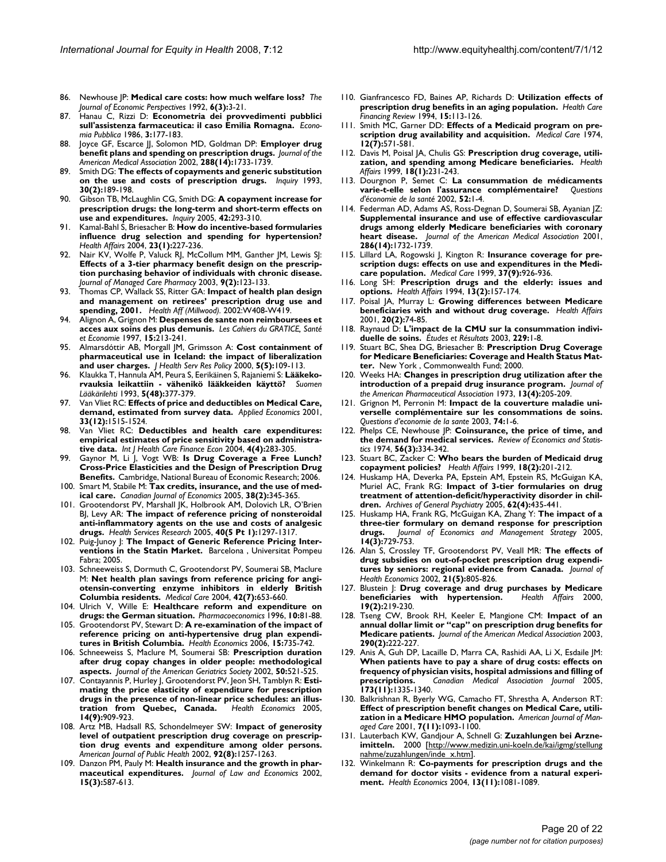- 86. Newhouse JP: **[Medical care costs: how much welfare loss?](http://www.ncbi.nlm.nih.gov/entrez/query.fcgi?cmd=Retrieve&db=PubMed&dopt=Abstract&list_uids=10128078)** *The Journal of Economic Perspectives* 1992, **6(3):**3-21.
- 87. Hanau C, Rizzi D: **Econometria dei provvedimenti pubblici sull'assistenza farmaceutica: il caso Emilia Romagna.** *Economia Pubblica* 1986, **3:**177-183.
- 88. Joyce GF, Escarce JJ, Solomon MD, Goldman DP: **[Employer drug](http://www.ncbi.nlm.nih.gov/entrez/query.fcgi?cmd=Retrieve&db=PubMed&dopt=Abstract&list_uids=12365957) [benefit plans and spending on prescription drugs.](http://www.ncbi.nlm.nih.gov/entrez/query.fcgi?cmd=Retrieve&db=PubMed&dopt=Abstract&list_uids=12365957)** *Journal of the American Medical Association* 2002, **288(14):**1733-1739.
- 89. Smith DG: **[The effects of copayments and generic substitution](http://www.ncbi.nlm.nih.gov/entrez/query.fcgi?cmd=Retrieve&db=PubMed&dopt=Abstract&list_uids=8314607) [on the use and costs of prescription drugs.](http://www.ncbi.nlm.nih.gov/entrez/query.fcgi?cmd=Retrieve&db=PubMed&dopt=Abstract&list_uids=8314607)** *Inquiry* 1993, **30(2):**189-198.
- 90. Gibson TB, McLaughlin CG, Smith DG: **[A copayment increase for](http://www.ncbi.nlm.nih.gov/entrez/query.fcgi?cmd=Retrieve&db=PubMed&dopt=Abstract&list_uids=16353764) [prescription drugs: the long-term and short-term effects on](http://www.ncbi.nlm.nih.gov/entrez/query.fcgi?cmd=Retrieve&db=PubMed&dopt=Abstract&list_uids=16353764) [use and expenditures.](http://www.ncbi.nlm.nih.gov/entrez/query.fcgi?cmd=Retrieve&db=PubMed&dopt=Abstract&list_uids=16353764)** *Inquiry* 2005, **42:**293-310.
- 91. Kamal-Bahl S, Briesacher B: **[How do incentive-based formularies](http://www.ncbi.nlm.nih.gov/entrez/query.fcgi?cmd=Retrieve&db=PubMed&dopt=Abstract&list_uids=15002647) [influence drug selection and spending for hypertension?](http://www.ncbi.nlm.nih.gov/entrez/query.fcgi?cmd=Retrieve&db=PubMed&dopt=Abstract&list_uids=15002647)** *Health Affairs* 2004, **23(1):**227-236.
- 92. Nair KV, Wolfe P, Valuck RJ, McCollum MM, Ganther JM, Lewis SJ: **[Effects of a 3-tier pharmacy benefit design on the prescrip](http://www.ncbi.nlm.nih.gov/entrez/query.fcgi?cmd=Retrieve&db=PubMed&dopt=Abstract&list_uids=14613341)tion purchasing behavior of individuals with chronic disease.** *Journal of Managed Care Pharmacy* 2003, **9(2):**123-133.
- 93. Thomas CP, Wallack SS, Ritter GA: **[Impact of health plan design](http://www.ncbi.nlm.nih.gov/entrez/query.fcgi?cmd=Retrieve&db=PubMed&dopt=Abstract&list_uids=12703602) [and management on retirees' prescription drug use and](http://www.ncbi.nlm.nih.gov/entrez/query.fcgi?cmd=Retrieve&db=PubMed&dopt=Abstract&list_uids=12703602) [spending, 2001.](http://www.ncbi.nlm.nih.gov/entrez/query.fcgi?cmd=Retrieve&db=PubMed&dopt=Abstract&list_uids=12703602)** *Health Aff (Millwood).* 2002:W408-W419.
- 94. Alignon A, Grignon M: **Despenses de sante non reimboursees et acces aux soins des plus demunis.** *Les Cahiers du GRATICE, Santé et Economie* 1997, **15:**213-241.
- 95. Almarsdóttir AB, Morgall JM, Grimsson A: **[Cost containment of](http://www.ncbi.nlm.nih.gov/entrez/query.fcgi?cmd=Retrieve&db=PubMed&dopt=Abstract&list_uids=10947545) [pharmaceutical use in Iceland: the impact of liberalization](http://www.ncbi.nlm.nih.gov/entrez/query.fcgi?cmd=Retrieve&db=PubMed&dopt=Abstract&list_uids=10947545) [and user charges.](http://www.ncbi.nlm.nih.gov/entrez/query.fcgi?cmd=Retrieve&db=PubMed&dopt=Abstract&list_uids=10947545)** *J Health Serv Res Policy* 2000, **5(5):**109-113.
- 96. Klaukka T, Hannula AM, Peura S, Eerikäinen S, Rajaniemi S: **Lääkekorvauksia leikattiin - vähenikö lääkkeiden käyttö?** *Suomen Lääkärilehti* 1993, **5(48):**377-379.
- 97. Van Vliet RC: **Effects of price and deductibles on Medical Care, demand, estimated from survey data.** *Applied Economics* 2001, **33(12):**1515-1524.
- 98. Van Vliet RC: **[Deductibles and health care expenditures:](http://www.ncbi.nlm.nih.gov/entrez/query.fcgi?cmd=Retrieve&db=PubMed&dopt=Abstract&list_uids=15467406) [empirical estimates of price sensitivity based on administra](http://www.ncbi.nlm.nih.gov/entrez/query.fcgi?cmd=Retrieve&db=PubMed&dopt=Abstract&list_uids=15467406)[tive data.](http://www.ncbi.nlm.nih.gov/entrez/query.fcgi?cmd=Retrieve&db=PubMed&dopt=Abstract&list_uids=15467406)** *Int J Health Care Finance Econ* 2004, **4(4):**283-305.
- Gaynor M, Li J, Vogt WB: Is Drug Coverage a Free Lunch? **Cross-Price Elasticities and the Design of Prescription Drug Benefits.** Cambridge, National Bureau of Economic Research; 2006.
- 100. Smart M, Stabile M: **Tax credits, insurance, and the use of medical care.** *Canadian Journal of Economics* 2005, **38(2):**345-365.
- 101. Grootendorst PV, Marshall JK, Holbrook AM, Dolovich LR, O'Brien BJ, Levy AR: **[The impact of reference pricing of nonsteroidal](http://www.ncbi.nlm.nih.gov/entrez/query.fcgi?cmd=Retrieve&db=PubMed&dopt=Abstract&list_uids=16174135) [anti-inflammatory agents on the use and costs of analgesic](http://www.ncbi.nlm.nih.gov/entrez/query.fcgi?cmd=Retrieve&db=PubMed&dopt=Abstract&list_uids=16174135) [drugs.](http://www.ncbi.nlm.nih.gov/entrez/query.fcgi?cmd=Retrieve&db=PubMed&dopt=Abstract&list_uids=16174135)** *Health Services Research* 2005, **40(5 Pt 1):**1297-1317.
- 102. Puig-Junoy J: **The Impact of Generic Reference Pricing Interventions in the Statin Market.** Barcelona , Universitat Pompeu Fabra; 2005.
- 103. Schneeweiss S, Dormuth C, Grootendorst PV, Soumerai SB, Maclure M: **[Net health plan savings from reference pricing for angi](http://www.ncbi.nlm.nih.gov/entrez/query.fcgi?cmd=Retrieve&db=PubMed&dopt=Abstract&list_uids=15213490)[otensin-converting enzyme inhibitors in elderly British](http://www.ncbi.nlm.nih.gov/entrez/query.fcgi?cmd=Retrieve&db=PubMed&dopt=Abstract&list_uids=15213490) [Columbia residents.](http://www.ncbi.nlm.nih.gov/entrez/query.fcgi?cmd=Retrieve&db=PubMed&dopt=Abstract&list_uids=15213490)** *Medical Care* 2004, **42(7):**653-660.
- 104. Ulrich V, Wille E: **[Healthcare reform and expenditure on](http://www.ncbi.nlm.nih.gov/entrez/query.fcgi?cmd=Retrieve&db=PubMed&dopt=Abstract&list_uids=10163440) [drugs: the German situation.](http://www.ncbi.nlm.nih.gov/entrez/query.fcgi?cmd=Retrieve&db=PubMed&dopt=Abstract&list_uids=10163440)** *Pharmacoeconomics* 1996, **10:**81-88.
- 105. Grootendorst PV, Stewart D: **[A re-examination of the impact of](http://www.ncbi.nlm.nih.gov/entrez/query.fcgi?cmd=Retrieve&db=PubMed&dopt=Abstract&list_uids=16498702) [reference pricing on anti-hypertensive drug plan expendi](http://www.ncbi.nlm.nih.gov/entrez/query.fcgi?cmd=Retrieve&db=PubMed&dopt=Abstract&list_uids=16498702)[tures in British Columbia.](http://www.ncbi.nlm.nih.gov/entrez/query.fcgi?cmd=Retrieve&db=PubMed&dopt=Abstract&list_uids=16498702)** *Health Economics* 2006, **15:**735-742.
- 106. Schneeweiss S, Maclure M, Soumerai SB: **[Prescription duration](http://www.ncbi.nlm.nih.gov/entrez/query.fcgi?cmd=Retrieve&db=PubMed&dopt=Abstract&list_uids=11943050) [after drug copay changes in older people: methodological](http://www.ncbi.nlm.nih.gov/entrez/query.fcgi?cmd=Retrieve&db=PubMed&dopt=Abstract&list_uids=11943050) [aspects.](http://www.ncbi.nlm.nih.gov/entrez/query.fcgi?cmd=Retrieve&db=PubMed&dopt=Abstract&list_uids=11943050)** *Journal of the American Geriatrics Society* 2002, **50:**521-525.
- 107. Contayannis P, Hurley J, Grootendorst PV, Jeon SH, Tamblyn R: **[Esti](http://www.ncbi.nlm.nih.gov/entrez/query.fcgi?cmd=Retrieve&db=PubMed&dopt=Abstract&list_uids=16127675)[mating the price elasticity of expenditure for prescription](http://www.ncbi.nlm.nih.gov/entrez/query.fcgi?cmd=Retrieve&db=PubMed&dopt=Abstract&list_uids=16127675) drugs in the presence of non-linear price schedules: an illus**[tration from Quebec, Canada.](http://www.ncbi.nlm.nih.gov/entrez/query.fcgi?cmd=Retrieve&db=PubMed&dopt=Abstract&list_uids=16127675) **14(9):**909-923.
- 108. Artz MB, Hadsall RS, Schondelmeyer SW: **[Impact of generosity](http://www.ncbi.nlm.nih.gov/entrez/query.fcgi?cmd=Retrieve&db=PubMed&dopt=Abstract&list_uids=12144981) [level of outpatient prescription drug coverage on prescrip](http://www.ncbi.nlm.nih.gov/entrez/query.fcgi?cmd=Retrieve&db=PubMed&dopt=Abstract&list_uids=12144981)tion drug events and expenditure among older persons.** *American Journal of Public Health* 2002, **92(8):**1257-1263.
- 109. Danzon PM, Pauly M: **Health insurance and the growth in pharmaceutical expenditures.** *Journal of Law and Economics* 2002, **15(3):**587-613.
- 110. Gianfrancesco FD, Baines AP, Richards D: **[Utilization effects of](http://www.ncbi.nlm.nih.gov/entrez/query.fcgi?cmd=Retrieve&db=PubMed&dopt=Abstract&list_uids=10137793) [prescription drug benefits in an aging population.](http://www.ncbi.nlm.nih.gov/entrez/query.fcgi?cmd=Retrieve&db=PubMed&dopt=Abstract&list_uids=10137793)** *Health Care Financing Review* 1994, **15:**113-126.
- 111. Smith MC, Garner DD: **[Effects of a Medicaid program on pre](http://www.ncbi.nlm.nih.gov/entrez/query.fcgi?cmd=Retrieve&db=PubMed&dopt=Abstract&list_uids=4600309)[scription drug availability and acquisition.](http://www.ncbi.nlm.nih.gov/entrez/query.fcgi?cmd=Retrieve&db=PubMed&dopt=Abstract&list_uids=4600309)** *Medical Care* 1974, **12(7):**571-581.
- 112. Davis M, Poisal JA, Chulis GS: **[Prescription drug coverage, utili](http://www.ncbi.nlm.nih.gov/entrez/query.fcgi?cmd=Retrieve&db=PubMed&dopt=Abstract&list_uids=9926660)[zation, and spending among Medicare beneficiaries.](http://www.ncbi.nlm.nih.gov/entrez/query.fcgi?cmd=Retrieve&db=PubMed&dopt=Abstract&list_uids=9926660)** *Health Affairs* 1999, **18(1):**231-243.
- 113. Dourgnon P, Semet C: **La consummation de médicaments varie-t-elle selon l'assurance complémentaire?** *Questions d'économie de la santé* 2002, **52:**1-4.
- 114. Federman AD, Adams AS, Ross-Degnan D, Soumerai SB, Ayanian JZ: **[Supplemental insurance and use of effective cardiovascular](http://www.ncbi.nlm.nih.gov/entrez/query.fcgi?cmd=Retrieve&db=PubMed&dopt=Abstract&list_uids=11594898) drugs among elderly Medicare beneficiaries with coronary [heart disease.](http://www.ncbi.nlm.nih.gov/entrez/query.fcgi?cmd=Retrieve&db=PubMed&dopt=Abstract&list_uids=11594898)** *Journal of the American Medical Association* 2001, **286(14):**1732-1739.
- 115. Lillard LA, Rogowski J, Kington R: **[Insurance coverage for pre](http://www.ncbi.nlm.nih.gov/entrez/query.fcgi?cmd=Retrieve&db=PubMed&dopt=Abstract&list_uids=10493470)[scription dugs: effects on use and expenditures in the Medi](http://www.ncbi.nlm.nih.gov/entrez/query.fcgi?cmd=Retrieve&db=PubMed&dopt=Abstract&list_uids=10493470)[care population.](http://www.ncbi.nlm.nih.gov/entrez/query.fcgi?cmd=Retrieve&db=PubMed&dopt=Abstract&list_uids=10493470)** *Medical Care* 1999, **37(9):**926-936.
- 116. Long SH: **[Prescription drugs and the elderly: issues and](http://www.ncbi.nlm.nih.gov/entrez/query.fcgi?cmd=Retrieve&db=PubMed&dopt=Abstract&list_uids=8056369) [options.](http://www.ncbi.nlm.nih.gov/entrez/query.fcgi?cmd=Retrieve&db=PubMed&dopt=Abstract&list_uids=8056369)** *Health Affairs* 1994, **13(2):**157-174.
- 117. Poisal JA, Murray L: **[Growing differences between Medicare](http://www.ncbi.nlm.nih.gov/entrez/query.fcgi?cmd=Retrieve&db=PubMed&dopt=Abstract&list_uids=11260961) [beneficiaries with and without drug coverage.](http://www.ncbi.nlm.nih.gov/entrez/query.fcgi?cmd=Retrieve&db=PubMed&dopt=Abstract&list_uids=11260961)** *Health Affairs* 2001, **20(2):**74-85.
- 118. Raynaud D: **L'impact de la CMU sur la consummation individuelle de soins.** *Études et Résultats* 2003, **229:**1-8.
- 119. Stuart BC, Shea DG, Briesacher B: **Prescription Drug Coverage for Medicare Beneficiaries: Coverage and Health Status Matter.** New York , Commonwealth Fund; 2000.
- 120. Weeks HA: **[Changes in prescription drug utilization after the](http://www.ncbi.nlm.nih.gov/entrez/query.fcgi?cmd=Retrieve&db=PubMed&dopt=Abstract&list_uids=4696159) [introduction of a prepaid drug insurance program.](http://www.ncbi.nlm.nih.gov/entrez/query.fcgi?cmd=Retrieve&db=PubMed&dopt=Abstract&list_uids=4696159)** *Journal of the American Pharmaceutical Association* 1973, **13(4):**205-209.
- 121. Grignon M, Perronin M: **Impact de la couverture maladie universelle complémentaire sur les consommations de soins.** *Questions d'economie de la sante* 2003, **74:**1-6.
- 122. Phelps CE, Newhouse JP: **Coinsurance, the price of time, and the demand for medical services.** *Review of Economics and Statistics* 1974, **56(3):**334-342.
- 123. Stuart BC, Zacker C: **[Who bears the burden of Medicaid drug](http://www.ncbi.nlm.nih.gov/entrez/query.fcgi?cmd=Retrieve&db=PubMed&dopt=Abstract&list_uids=10091449) [copayment policies?](http://www.ncbi.nlm.nih.gov/entrez/query.fcgi?cmd=Retrieve&db=PubMed&dopt=Abstract&list_uids=10091449)** *Health Affairs* 1999, **18(2):**201-212.
- 124. Huskamp HA, Deverka PA, Epstein AM, Epstein RS, McGuigan KA, Muriel AC, Frank RG: **[Impact of 3-tier formularies on drug](http://www.ncbi.nlm.nih.gov/entrez/query.fcgi?cmd=Retrieve&db=PubMed&dopt=Abstract&list_uids=15809411) [treatment of attention-deficit/hyperactivity disorder in chil](http://www.ncbi.nlm.nih.gov/entrez/query.fcgi?cmd=Retrieve&db=PubMed&dopt=Abstract&list_uids=15809411)[dren.](http://www.ncbi.nlm.nih.gov/entrez/query.fcgi?cmd=Retrieve&db=PubMed&dopt=Abstract&list_uids=15809411)** *Archives of General Psychiatry* 2005, **62(4):**435-441.
- 125. Huskamp HA, Frank RG, McGuigan KA, Zhang Y: **The impact of a three-tier formulary on demand response for prescription drugs.** *Journal of Economics and Management Strategy* 2005, **14(3):**729-753.
- 126. Alan S, Crossley TF, Grootendorst PV, Veall MR: [The effects of](http://www.ncbi.nlm.nih.gov/entrez/query.fcgi?cmd=Retrieve&db=PubMed&dopt=Abstract&list_uids=12349883) **[drug subsidies on out-of-pocket prescription drug expendi](http://www.ncbi.nlm.nih.gov/entrez/query.fcgi?cmd=Retrieve&db=PubMed&dopt=Abstract&list_uids=12349883)[tures by seniors: regional evidence from Canada.](http://www.ncbi.nlm.nih.gov/entrez/query.fcgi?cmd=Retrieve&db=PubMed&dopt=Abstract&list_uids=12349883)** *Journal of Health Economics* 2002, **21(5):**805-826.
- 127. Blustein J: **[Drug coverage and drug purchases by Medicare](http://www.ncbi.nlm.nih.gov/entrez/query.fcgi?cmd=Retrieve&db=PubMed&dopt=Abstract&list_uids=10718036)**<br>**beneficiaries with hypertension.** Health Affairs 2000, with hypertension. **19(2):**219-230.
- 128. Tseng CW, Brook RH, Keeler E, Mangione CM: **[Impact of an](http://www.ncbi.nlm.nih.gov/entrez/query.fcgi?cmd=Retrieve&db=PubMed&dopt=Abstract&list_uids=12851277) [annual dollar limit or "cap" on prescription drug benefits for](http://www.ncbi.nlm.nih.gov/entrez/query.fcgi?cmd=Retrieve&db=PubMed&dopt=Abstract&list_uids=12851277) [Medicare patients.](http://www.ncbi.nlm.nih.gov/entrez/query.fcgi?cmd=Retrieve&db=PubMed&dopt=Abstract&list_uids=12851277)** *Journal of the American Medical Association* 2003, **290(2):**222-227.
- 129. Anis A, Guh DP, Lacaille D, Marra CA, Rashidi AA, Li X, Esdaile JM: **[When patients have to pay a share of drug costs: effects on](http://www.ncbi.nlm.nih.gov/entrez/query.fcgi?cmd=Retrieve&db=PubMed&dopt=Abstract&list_uids=16301701) frequency of physician visits, hospital admissions and filling of [prescriptions.](http://www.ncbi.nlm.nih.gov/entrez/query.fcgi?cmd=Retrieve&db=PubMed&dopt=Abstract&list_uids=16301701)** *Canadian Medical Association Journal* 2005, **173(11):**1335-1340.
- 130. Balkrishnan R, Byerly WG, Camacho FT, Shrestha A, Anderson RT: **[Effect of prescription benefit changes on Medical Care, utili](http://www.ncbi.nlm.nih.gov/entrez/query.fcgi?cmd=Retrieve&db=PubMed&dopt=Abstract&list_uids=11725812)[zation in a Medicare HMO population.](http://www.ncbi.nlm.nih.gov/entrez/query.fcgi?cmd=Retrieve&db=PubMed&dopt=Abstract&list_uids=11725812)** *American Journal of Managed Care* 2001, **7(11):**1093-1100.
- 131. Lauterbach KW, Gandjour A, Schnell G: **Zuzahlungen bei Arzneimitteln.** 2000 [\[http://www.medizin.uni-koeln.de/kai/igmg/stellung](http://www.medizin.uni-koeln.de/kai/igmg/stellungnahme/zuzahlungen/inde  x.htm) [nahme/zuzahlungen/inde x.htm\]](http://www.medizin.uni-koeln.de/kai/igmg/stellungnahme/zuzahlungen/inde  x.htm).
- 132. Winkelmann R: **[Co-payments for prescription drugs and the](http://www.ncbi.nlm.nih.gov/entrez/query.fcgi?cmd=Retrieve&db=PubMed&dopt=Abstract&list_uids=15386685) [demand for doctor visits - evidence from a natural experi](http://www.ncbi.nlm.nih.gov/entrez/query.fcgi?cmd=Retrieve&db=PubMed&dopt=Abstract&list_uids=15386685)[ment.](http://www.ncbi.nlm.nih.gov/entrez/query.fcgi?cmd=Retrieve&db=PubMed&dopt=Abstract&list_uids=15386685)** *Health Economics* 2004, **13(11):**1081-1089.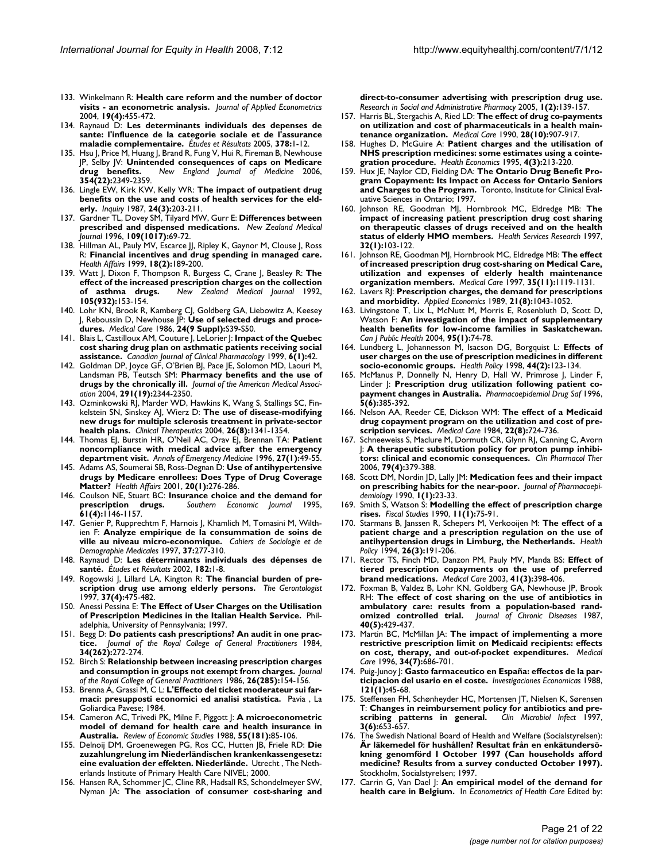- 133. Winkelmann R: **Health care reform and the number of doctor visits - an econometric analysis.** *Journal of Applied Econometrics* 2004, **19(4):**455-472.
- 134. Raynaud D: **Les determinants individuals des depenses de sante: l'influence de la categorie sociale et de l'assurance maladie complementaire.** *Études et Résultats* 2005, **378:**1-12.
- 135. Hsu J, Price M, Huang J, Brand R, Fung V, Hui R, Fireman B, Newhouse JP, Selby JV: **[Unintended consequences of caps on Medicare](http://www.ncbi.nlm.nih.gov/entrez/query.fcgi?cmd=Retrieve&db=PubMed&dopt=Abstract&list_uids=16738271) [drug benefits.](http://www.ncbi.nlm.nih.gov/entrez/query.fcgi?cmd=Retrieve&db=PubMed&dopt=Abstract&list_uids=16738271)** *New England Journal of Medicine* 2006, **354(22):**2349-2359.
- 136. Lingle EW, Kirk KW, Kelly WR: **[The impact of outpatient drug](http://www.ncbi.nlm.nih.gov/entrez/query.fcgi?cmd=Retrieve&db=PubMed&dopt=Abstract&list_uids=2958410) [benefits on the use and costs of health services for the eld](http://www.ncbi.nlm.nih.gov/entrez/query.fcgi?cmd=Retrieve&db=PubMed&dopt=Abstract&list_uids=2958410)[erly.](http://www.ncbi.nlm.nih.gov/entrez/query.fcgi?cmd=Retrieve&db=PubMed&dopt=Abstract&list_uids=2958410)** *Inquiry* 1987, **24(3):**203-211.
- 137. Gardner TL, Dovey SM, Tilyard MW, Gurr E: **[Differences between](http://www.ncbi.nlm.nih.gov/entrez/query.fcgi?cmd=Retrieve&db=PubMed&dopt=Abstract&list_uids=8606821) [prescribed and dispensed medications.](http://www.ncbi.nlm.nih.gov/entrez/query.fcgi?cmd=Retrieve&db=PubMed&dopt=Abstract&list_uids=8606821)** *New Zealand Medical Journal* 1996, **109(1017):**69-72.
- 138. Hillman AL, Pauly MV, Escarce JJ, Ripley K, Gaynor M, Clouse J, Ross R: **[Financial incentives and drug spending in managed care.](http://www.ncbi.nlm.nih.gov/entrez/query.fcgi?cmd=Retrieve&db=PubMed&dopt=Abstract&list_uids=10091448)** *Health Affairs* 1999, **18(2):**189-200.
- 139. Watt J, Dixon F, Thompson R, Burgess C, Crane J, Beasley R: **[The](http://www.ncbi.nlm.nih.gov/entrez/query.fcgi?cmd=Retrieve&db=PubMed&dopt=Abstract&list_uids=1495653) [effect of the increased prescription charges on the collection](http://www.ncbi.nlm.nih.gov/entrez/query.fcgi?cmd=Retrieve&db=PubMed&dopt=Abstract&list_uids=1495653)**<br>of **asthma** drugs. New Zealand Medical Journal 1992, **[of asthma drugs.](http://www.ncbi.nlm.nih.gov/entrez/query.fcgi?cmd=Retrieve&db=PubMed&dopt=Abstract&list_uids=1495653)** *New Zealand Medical Journal* 1992, **105(932):**153-154.
- 140. Lohr KN, Brook R, Kamberg CJ, Goldberg GA, Liebowitz A, Keesey J, Reboussin D, Newhouse JP: **Use of selected drugs and procedures.** *Medical Care* 1986, **24(9 Suppl):**S39-S50.
- 141. Blais L, Castilloux AM, Couture J, LeLorier J: **Impact of the Quebec cost sharing drug plan on asthmatic patients receiving social assistance.** *Canadian Journal of Clinical Pharmacology* 1999, **6(1):**42.
- 142. Goldman DP, Joyce GF, O'Brien BJ, Pace JE, Solomon MD, Laouri M, Landsman PB, Teutsch SM: **[Pharmacy benefits and the use of](http://www.ncbi.nlm.nih.gov/entrez/query.fcgi?cmd=Retrieve&db=PubMed&dopt=Abstract&list_uids=15150206) [drugs by the chronically ill.](http://www.ncbi.nlm.nih.gov/entrez/query.fcgi?cmd=Retrieve&db=PubMed&dopt=Abstract&list_uids=15150206)** *Journal of the American Medical Association* 2004, **291(19):**2344-2350.
- 143. Ozminkowski RJ, Marder WD, Hawkins K, Wang S, Stallings SC, Finkelstein SN, Sinskey AJ, Wierz D: **[The use of disease-modifying](http://www.ncbi.nlm.nih.gov/entrez/query.fcgi?cmd=Retrieve&db=PubMed&dopt=Abstract&list_uids=15476915) [new drugs for multiple sclerosis treatment in private-sector](http://www.ncbi.nlm.nih.gov/entrez/query.fcgi?cmd=Retrieve&db=PubMed&dopt=Abstract&list_uids=15476915) [health plans.](http://www.ncbi.nlm.nih.gov/entrez/query.fcgi?cmd=Retrieve&db=PubMed&dopt=Abstract&list_uids=15476915)** *Clinical Therapeutics* 2004, **26(8):**1341-1354.
- 144. Thomas EJ, Burstin HR, O'Neil AC, Orav EJ, Brennan TA: **[Patient](http://www.ncbi.nlm.nih.gov/entrez/query.fcgi?cmd=Retrieve&db=PubMed&dopt=Abstract&list_uids=8572448) [noncompliance with medical advice after the emergency](http://www.ncbi.nlm.nih.gov/entrez/query.fcgi?cmd=Retrieve&db=PubMed&dopt=Abstract&list_uids=8572448) [department visit.](http://www.ncbi.nlm.nih.gov/entrez/query.fcgi?cmd=Retrieve&db=PubMed&dopt=Abstract&list_uids=8572448)** *Annals of Emergency Medicine* 1996, **27(1):**49-55.
- 145. Adams AS, Soumerai SB, Ross-Degnan D: **[Use of antihypertensive](http://www.ncbi.nlm.nih.gov/entrez/query.fcgi?cmd=Retrieve&db=PubMed&dopt=Abstract&list_uids=11194852) [drugs by Medicare enrollees: Does Type of Drug Coverage](http://www.ncbi.nlm.nih.gov/entrez/query.fcgi?cmd=Retrieve&db=PubMed&dopt=Abstract&list_uids=11194852) [Matter?](http://www.ncbi.nlm.nih.gov/entrez/query.fcgi?cmd=Retrieve&db=PubMed&dopt=Abstract&list_uids=11194852)** *Health Affairs* 2001, **20(1):**276-286.
- 146. Coulson NE, Stuart BC: **Insurance choice and the demand for prescription drugs.** *Southern Economic Journal* 1995, **61(4):**1146-1157.
- 147. Genier P, Rupprechtm F, Harnois J, Khamlich M, Tomasini M, Wilthien F: **[Analyze empirique de la consummation de soins de](http://www.ncbi.nlm.nih.gov/entrez/query.fcgi?cmd=Retrieve&db=PubMed&dopt=Abstract&list_uids=9587470) [ville au niveau micro-economique.](http://www.ncbi.nlm.nih.gov/entrez/query.fcgi?cmd=Retrieve&db=PubMed&dopt=Abstract&list_uids=9587470)** *Cahiers de Sociologie et de Demographie Medicales* 1997, **37:**277-310.
- 148. Raynaud D: **Les déterminants individuals des dépenses de santé.** *Études et Résultats* 2002, **182:**1-8.
- 149. Rogowski J, Lillard LA, Kington R: **[The financial burden of pre](http://www.ncbi.nlm.nih.gov/entrez/query.fcgi?cmd=Retrieve&db=PubMed&dopt=Abstract&list_uids=9279036)[scription drug use among elderly persons.](http://www.ncbi.nlm.nih.gov/entrez/query.fcgi?cmd=Retrieve&db=PubMed&dopt=Abstract&list_uids=9279036)** *The Gerontologist* 1997, **37(4):**475-482.
- 150. Anessi Pessina E: **The Effect of User Charges on the Utilisation of Prescription Medicines in the Italian Health Service.** Philadelphia, University of Pennsylvania; 1997.
- 151. Begg D: **[Do patients cash prescriptions? An audit in one prac](http://www.ncbi.nlm.nih.gov/entrez/query.fcgi?cmd=Retrieve&db=PubMed&dopt=Abstract&list_uids=6737365)[tice.](http://www.ncbi.nlm.nih.gov/entrez/query.fcgi?cmd=Retrieve&db=PubMed&dopt=Abstract&list_uids=6737365)** *Journal of the Royal College of General Practitioners* 1984, **34(262):**272-274.
- 152. Birch S: **Relationship between increasing prescription charges and consumption in groups not exempt from charges.** *Journal of the Royal College of General Practitioners* 1986, **26(285):**154-156.
- 153. Brenna A, Grassi M, C L: **L'Effecto del ticket moderateur sui farmaci: presupposti economici ed analisi statistica.** Pavia , La Goliardica Pavese; 1984.
- 154. Cameron AC, Trivedi PK, Milne F, Piggott J: **A microeconometric model of demand for health care and health insurance in Australia.** *Review of Economic Studies* 1988, **55(181):**85-106.
- 155. Delnoij DM, Groenewegen PG, Ros CC, Hutten JB, Friele RD: **Die zuzahlungrelung im Niederländischen krankenkassengesetz: eine evaluation der effekten. Niederlände.** Utrecht , The Netherlands Institute of Primary Health Care NIVEL; 2000.
- 156. Hansen RA, Schommer JC, Cline RR, Hadsall RS, Schondelmeyer SW, Nyman JA: **The association of consumer cost-sharing and**

**direct-to-consumer advertising with prescription drug use.** *Research in Social and Administrative Pharmacy* 2005, **1(2):**139-157.

- 157. Harris BL, Stergachis A, Ried LD: **[The effect of drug co-payments](http://www.ncbi.nlm.nih.gov/entrez/query.fcgi?cmd=Retrieve&db=PubMed&dopt=Abstract&list_uids=2232921) [on utilization and cost of pharmaceuticals in a health main](http://www.ncbi.nlm.nih.gov/entrez/query.fcgi?cmd=Retrieve&db=PubMed&dopt=Abstract&list_uids=2232921)[tenance organization.](http://www.ncbi.nlm.nih.gov/entrez/query.fcgi?cmd=Retrieve&db=PubMed&dopt=Abstract&list_uids=2232921)** *Medical Care* 1990, **28(10):**907-917.
- 158. Hughes D, McGuire A: **[Patient charges and the utilisation of](http://www.ncbi.nlm.nih.gov/entrez/query.fcgi?cmd=Retrieve&db=PubMed&dopt=Abstract&list_uids=7550771) [NHS prescription medicines: some estimates using a cointe](http://www.ncbi.nlm.nih.gov/entrez/query.fcgi?cmd=Retrieve&db=PubMed&dopt=Abstract&list_uids=7550771)[gration procedure.](http://www.ncbi.nlm.nih.gov/entrez/query.fcgi?cmd=Retrieve&db=PubMed&dopt=Abstract&list_uids=7550771)** *Health Economics* 1995, **4(3):**213-220.
- 159. Hux JE, Naylor CD, Fielding DA: **The Ontario Drug Benefit Program Copayment: Its Impact on Access for Ontario Seniors and Charges to the Program.** Toronto, Institute for Clinical Evaluative Sciences in Ontario; 1997.
- 160. Johnson RE, Goodman MJ, Hornbrook MC, Eldredge MB: **[The](http://www.ncbi.nlm.nih.gov/entrez/query.fcgi?cmd=Retrieve&db=PubMed&dopt=Abstract&list_uids=9108807) [impact of increasing patient prescription drug cost sharing](http://www.ncbi.nlm.nih.gov/entrez/query.fcgi?cmd=Retrieve&db=PubMed&dopt=Abstract&list_uids=9108807) on therapeutic classes of drugs received and on the health [status of elderly HMO members.](http://www.ncbi.nlm.nih.gov/entrez/query.fcgi?cmd=Retrieve&db=PubMed&dopt=Abstract&list_uids=9108807)** *Health Services Research* 1997, **32(1):**103-122.
- 161. Johnson RE, Goodman MJ, Hornbrook MC, Eldredge MB: **[The effect](http://www.ncbi.nlm.nih.gov/entrez/query.fcgi?cmd=Retrieve&db=PubMed&dopt=Abstract&list_uids=9366891) [of increased prescription drug cost-sharing on Medical Care,](http://www.ncbi.nlm.nih.gov/entrez/query.fcgi?cmd=Retrieve&db=PubMed&dopt=Abstract&list_uids=9366891) utilization and expenses of elderly health maintenance [organization members.](http://www.ncbi.nlm.nih.gov/entrez/query.fcgi?cmd=Retrieve&db=PubMed&dopt=Abstract&list_uids=9366891)** *Medical Care* 1997, **35(11):**1119-1131.
- 162. Lavers RJ: **Prescription charges, the demand for prescriptions and morbidity.** *Applied Economics* 1989, **21(8):**1043-1052.
- 163. Livingstone T, Lix L, McNutt M, Morris E, Rosenbluth D, Scott D, Watson F: **[An investigation of the impact of supplementary](http://www.ncbi.nlm.nih.gov/entrez/query.fcgi?cmd=Retrieve&db=PubMed&dopt=Abstract&list_uids=14768747) [health benefits for low-income families in Saskatchewan.](http://www.ncbi.nlm.nih.gov/entrez/query.fcgi?cmd=Retrieve&db=PubMed&dopt=Abstract&list_uids=14768747)** *Can J Public Health* 2004, **95(1):**74-78.
- 164. Lundberg L, Johannesson M, Isacson DG, Borgquist L: **[Effects of](http://www.ncbi.nlm.nih.gov/entrez/query.fcgi?cmd=Retrieve&db=PubMed&dopt=Abstract&list_uids=10180677) [user charges on the use of prescription medicines in different](http://www.ncbi.nlm.nih.gov/entrez/query.fcgi?cmd=Retrieve&db=PubMed&dopt=Abstract&list_uids=10180677) [socio-economic groups.](http://www.ncbi.nlm.nih.gov/entrez/query.fcgi?cmd=Retrieve&db=PubMed&dopt=Abstract&list_uids=10180677)** *Health Policy* 1998, **44(2):**123-134.
- 165. McManus P, Donnelly N, Henry D, Hall W, Primrose J, Linder F, Linder |: [Prescription drug utilization following patient co](http://www.ncbi.nlm.nih.gov/entrez/query.fcgi?cmd=Retrieve&db=PubMed&dopt=Abstract&list_uids=15073809)**[payment changes in Australia.](http://www.ncbi.nlm.nih.gov/entrez/query.fcgi?cmd=Retrieve&db=PubMed&dopt=Abstract&list_uids=15073809)** *Pharmacoepidemiol Drug Saf* 1996, **5(6):**385-392.
- 166. Nelson AA, Reeder CE, Dickson WM: **[The effect of a Medicaid](http://www.ncbi.nlm.nih.gov/entrez/query.fcgi?cmd=Retrieve&db=PubMed&dopt=Abstract&list_uids=6433121) [drug copayment program on the utilization and cost of pre](http://www.ncbi.nlm.nih.gov/entrez/query.fcgi?cmd=Retrieve&db=PubMed&dopt=Abstract&list_uids=6433121)[scription services.](http://www.ncbi.nlm.nih.gov/entrez/query.fcgi?cmd=Retrieve&db=PubMed&dopt=Abstract&list_uids=6433121)** *Medical Care* 1984, **22(8):**724-736.
- 167. Schneeweiss S, Maclure M, Dormuth CR, Glynn RJ, Canning C, Avorn J: **[A therapeutic substitution policy for proton pump inhibi](http://www.ncbi.nlm.nih.gov/entrez/query.fcgi?cmd=Retrieve&db=PubMed&dopt=Abstract&list_uids=16580906)[tors: clinical and economic consequences.](http://www.ncbi.nlm.nih.gov/entrez/query.fcgi?cmd=Retrieve&db=PubMed&dopt=Abstract&list_uids=16580906)** *Clin Pharmacol Ther* 2006, **79(4):**379-388.
- 168. Scott DM, Nordin JD, Lally JM: **Medication fees and their impact on prescribing habits for the near-poor.** *Journal of Pharmacoepidemiology* 1990, **1(1):**23-33.
- 169. Smith S, Watson S: **Modelling the effect of prescription charge rises.** *Fiscal Studies* 1990, **11(1):**75-91.
- 170. Starmans B, Janssen R, Schepers M, Verkooijen M: **[The effect of a](http://www.ncbi.nlm.nih.gov/entrez/query.fcgi?cmd=Retrieve&db=PubMed&dopt=Abstract&list_uids=10133131) [patient charge and a prescription regulation on the use of](http://www.ncbi.nlm.nih.gov/entrez/query.fcgi?cmd=Retrieve&db=PubMed&dopt=Abstract&list_uids=10133131) [antihypertension drugs in Limburg, the Netherlands.](http://www.ncbi.nlm.nih.gov/entrez/query.fcgi?cmd=Retrieve&db=PubMed&dopt=Abstract&list_uids=10133131)** *Health Policy* 1994, **26(3):**191-206.
- 171. Rector TS, Finch MD, Danzon PM, Pauly MV, Manda BS: **[Effect of](http://www.ncbi.nlm.nih.gov/entrez/query.fcgi?cmd=Retrieve&db=PubMed&dopt=Abstract&list_uids=12618643) [tiered prescription copayments on the use of preferred](http://www.ncbi.nlm.nih.gov/entrez/query.fcgi?cmd=Retrieve&db=PubMed&dopt=Abstract&list_uids=12618643) [brand medications.](http://www.ncbi.nlm.nih.gov/entrez/query.fcgi?cmd=Retrieve&db=PubMed&dopt=Abstract&list_uids=12618643)** *Medical Care* 2003, **41(3):**398-406.
- 172. Foxman B, Valdez B, Lohr KN, Goldberg GA, Newhouse JP, Brook RH: **[The effect of cost sharing on the use of antibiotics in](http://www.ncbi.nlm.nih.gov/entrez/query.fcgi?cmd=Retrieve&db=PubMed&dopt=Abstract&list_uids=3104386) [ambulatory care: results from a population-based rand](http://www.ncbi.nlm.nih.gov/entrez/query.fcgi?cmd=Retrieve&db=PubMed&dopt=Abstract&list_uids=3104386)[omized controlled trial.](http://www.ncbi.nlm.nih.gov/entrez/query.fcgi?cmd=Retrieve&db=PubMed&dopt=Abstract&list_uids=3104386)** *Journal of Chronic Diseases* 1987, **40(5):**429-437.
- 173. Martin BC, McMillan JA: **[The impact of implementing a more](http://www.ncbi.nlm.nih.gov/entrez/query.fcgi?cmd=Retrieve&db=PubMed&dopt=Abstract&list_uids=8676607) [restrictive prescription limit on Medicaid recipients: effects](http://www.ncbi.nlm.nih.gov/entrez/query.fcgi?cmd=Retrieve&db=PubMed&dopt=Abstract&list_uids=8676607) [on cost, therapy, and out-of-pocket expenditures.](http://www.ncbi.nlm.nih.gov/entrez/query.fcgi?cmd=Retrieve&db=PubMed&dopt=Abstract&list_uids=8676607)** *Medical Care* 1996, **34(7):**686-701.
- 174. Puig-Junoy J: **Gasto farmaceutico en España: effectos de la participacion del usario en el coste.** *Investigaciones Economicas* 1988, **121(1):**45-68.
- 175. Steffensen FH, Schønheyder HC, Mortensen JT, Nielsen K, Sørensen T: **[Changes in reimbursement policy for antibiotics and pre](http://www.ncbi.nlm.nih.gov/entrez/query.fcgi?cmd=Retrieve&db=PubMed&dopt=Abstract&list_uids=11864208)**[scribing patterns in general.](http://www.ncbi.nlm.nih.gov/entrez/query.fcgi?cmd=Retrieve&db=PubMed&dopt=Abstract&list_uids=11864208) **3(6):**653-657.
- 176. The Swedish National Board of Health and Welfare (Socialstyrelsen): **Är läkemedel för hushållen? Resultat från en enkätundersökning genomförd I October 1997 (Can households afford medicine? Results from a survey conducted October 1997).** Stockholm, Socialstyrelsen; 1997.
- 177. Carrin G, Van Dael J: **An empirical model of the demand for health care in Belgium.** In *Econometrics of Health Care* Edited by: